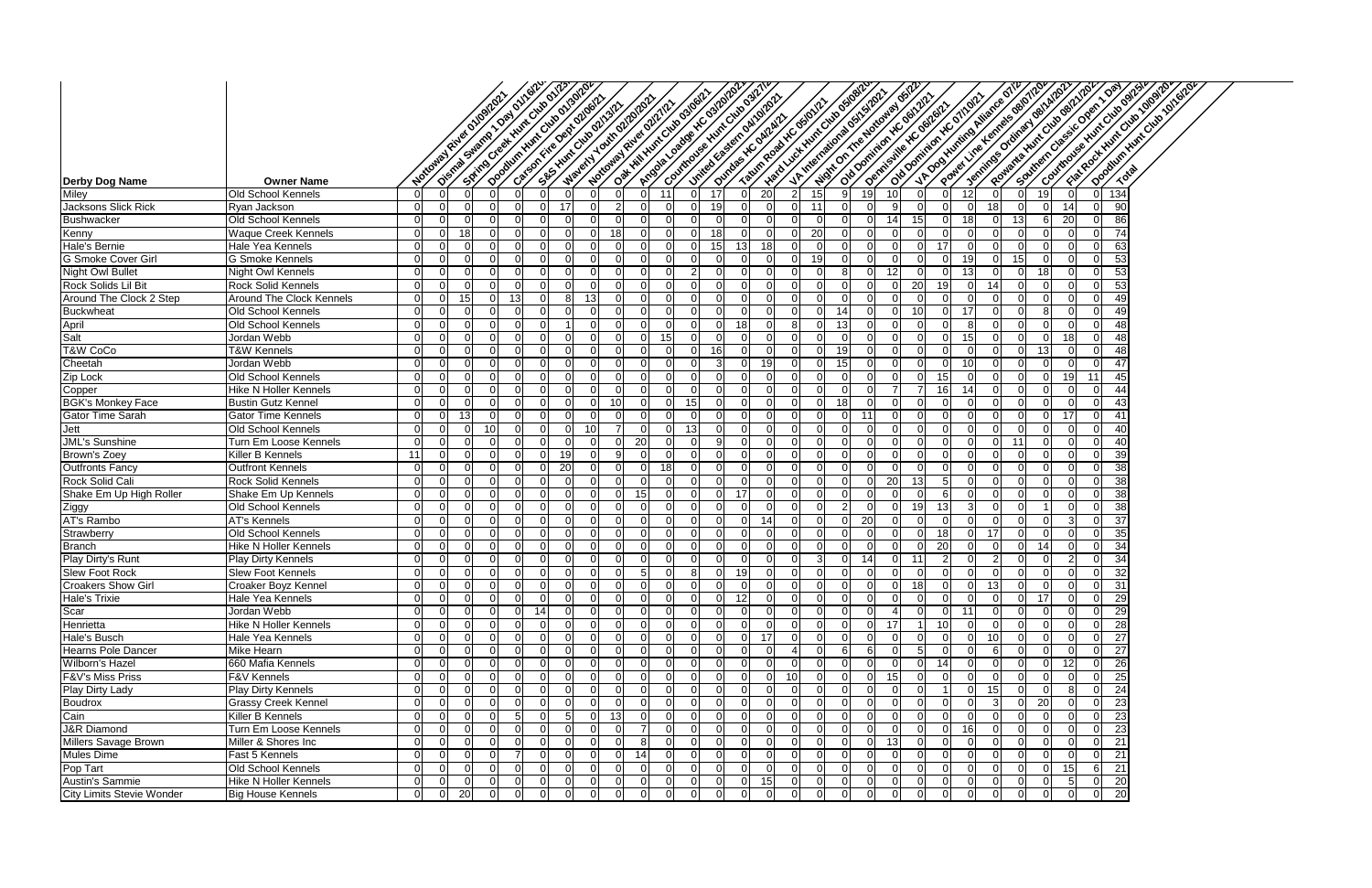|                                        |                                                |                            |                          |                |                | Oistras Swamp 10st overleafs.                                   |                    |                |                            | Argain cadage v.C. 310/02/                          |    |          |                                                                  |                            |                      |                   | - Hate of our Hunt Club of Joseph |                          |                      |                         |                       | Pointer Line Hemels generings                                |          |                          | Rowana Witchingsoft/202<br>Ventilies or direct del Mil202. |    | Covintous & Humbourge River<br>Southern Classic Open 1 Day | Opportunity of Oxford Division<br>Frakeoot Huncolson Olonpor |
|----------------------------------------|------------------------------------------------|----------------------------|--------------------------|----------------|----------------|-----------------------------------------------------------------|--------------------|----------------|----------------------------|-----------------------------------------------------|----|----------|------------------------------------------------------------------|----------------------------|----------------------|-------------------|-----------------------------------|--------------------------|----------------------|-------------------------|-----------------------|--------------------------------------------------------------|----------|--------------------------|------------------------------------------------------------|----|------------------------------------------------------------|--------------------------------------------------------------|
|                                        |                                                |                            | Notional River originary |                |                | Seiting creek Hunt City of 123<br>Openturi Hunt Cities of 13012 |                    |                |                            | Oak Hill Hunt Club 03/06/21<br>Material Tourouponds |    |          | Controls of Numerical Old Digital<br>integration of the original |                            |                      |                   | U. A. Miterialional distinction   | Wat on the Notional Osle |                      |                         |                       | 1/4 Dooytunting Alliance of IV<br>old pominion vic of right. |          |                          |                                                            |    |                                                            |                                                              |
|                                        |                                                |                            |                          |                |                | Category: e oexi ozooti2                                        | SES HUNCING ON ST. |                |                            | Nottoway River Outl'                                |    |          |                                                                  |                            |                      | Outdos Y.C owners | Tatimpool YC osiolich             |                          |                      | old bominion ic del 212 |                       | Demissive XC dental                                          |          |                          |                                                            |    |                                                            |                                                              |
|                                        |                                                |                            |                          |                |                |                                                                 |                    |                |                            |                                                     |    |          |                                                                  |                            |                      |                   |                                   |                          |                      |                         |                       |                                                              |          |                          |                                                            |    |                                                            |                                                              |
|                                        |                                                |                            |                          |                |                |                                                                 |                    |                |                            |                                                     |    |          |                                                                  |                            |                      |                   |                                   |                          |                      |                         |                       |                                                              |          |                          |                                                            |    |                                                            |                                                              |
|                                        |                                                |                            |                          |                |                |                                                                 |                    |                |                            |                                                     |    |          |                                                                  |                            |                      |                   |                                   |                          |                      |                         |                       |                                                              |          |                          |                                                            |    |                                                            |                                                              |
|                                        |                                                |                            |                          |                |                |                                                                 |                    |                |                            |                                                     |    |          |                                                                  |                            |                      |                   |                                   |                          |                      |                         |                       |                                                              |          |                          |                                                            |    |                                                            |                                                              |
| <b>Derby Dog Name</b>                  | <b>Owner Name</b>                              |                            |                          |                |                |                                                                 |                    |                |                            |                                                     |    |          |                                                                  |                            |                      |                   |                                   |                          |                      |                         |                       |                                                              |          |                          |                                                            |    |                                                            |                                                              |
| Miley                                  | Old School Kennels                             | $\Omega$                   |                          |                |                |                                                                 |                    |                | $\Omega$                   | $\overline{0}$                                      | 11 |          |                                                                  | $\Omega$                   | 20                   |                   | 15                                |                          | 19                   | 10                      |                       |                                                              | 12       | $\overline{0}$           | 19<br>$\Omega$                                             |    | 134<br>U                                                   |                                                              |
| Jacksons Slick Rick                    | Ryan Jackson                                   | $\Omega$<br>$\Omega$       | $\Omega$<br>$\Omega$     |                | $\Omega$       | $\cap$                                                          | 17<br>$\Omega$     |                | 2                          | $\Omega$<br>$\Omega$                                |    |          | 19                                                               | $\Omega$                   | $\Omega$<br>$\Omega$ |                   | 11                                |                          | $\Omega$             | 9                       |                       |                                                              | ∩<br>18  | 18                       | 0                                                          | 14 | 90                                                         |                                                              |
| <b>Bushwacker</b><br>Kenny             | Old School Kennels                             | $\Omega$                   | ∩                        | 18             |                |                                                                 |                    |                | $\Omega$<br>18             | 0                                                   |    |          |                                                                  | $\Omega$                   | $\Omega$             |                   | 20                                |                          | $\Omega$             | 14<br>$\Omega$          | 15                    |                                                              |          | <sup>0</sup><br>$\Omega$ | 13<br>$\Omega$                                             | 20 | 86<br>74                                                   |                                                              |
| Hale's Bernie                          | Waque Creek Kennels<br>Hale Yea Kennels        | $\Omega$                   | <sup>n</sup>             |                | ∩              |                                                                 | $\Omega$           |                | ∩                          | U                                                   |    | ΩI       |                                                                  | 131                        | 18                   |                   |                                   |                          | $\Omega$             | $\Omega$                |                       | 17                                                           |          | $\Omega$                 | $\Omega$                                                   |    | 63                                                         |                                                              |
| G Smoke Cover Girl                     | G Smoke Kennels                                | $\cap$                     | ∩                        |                | $\Omega$       |                                                                 | <sup>0</sup>       |                |                            | $\Omega$                                            |    |          |                                                                  | $\Omega$                   | $\Omega$             |                   | 19                                |                          | $\Omega$             | $\Omega$                |                       |                                                              | 19       | $\Omega$                 | 15                                                         |    | 53                                                         |                                                              |
| <b>Night Owl Bullet</b>                | <b>Night Owl Kennels</b>                       | $\cap$                     | ∩                        |                | $\Omega$       |                                                                 | $\Omega$           |                | 0                          | <sup>n</sup>                                        |    |          |                                                                  | $\Omega$                   | $\Omega$             |                   |                                   |                          | $\Omega$             | 12                      |                       |                                                              |          | $\Omega$                 | -18<br>$\Omega$                                            |    | $\overline{53}$                                            |                                                              |
| Rock Solids Lil Bit                    | Rock Solid Kennels                             | $\Omega$                   |                          |                |                |                                                                 |                    |                |                            | ∩                                                   |    |          |                                                                  | -0                         |                      |                   |                                   |                          |                      |                         | 20                    | 19                                                           |          | 14                       |                                                            |    | 53                                                         |                                                              |
| Around The Clock 2 Step                | <b>Around The Clock Kennels</b>                |                            |                          |                |                | 13                                                              |                    |                |                            |                                                     |    |          |                                                                  |                            |                      |                   |                                   |                          |                      |                         |                       |                                                              |          | $\Omega$                 |                                                            |    | 49                                                         |                                                              |
|                                        | Old School Kennels                             | $\Omega$                   | $\Omega$                 |                |                |                                                                 |                    |                |                            | 0                                                   |    |          |                                                                  | $\Omega$                   | 0                    |                   |                                   |                          | $\Omega$             | $\Omega$                | 10                    |                                                              |          | $\Omega$                 |                                                            |    | 49                                                         |                                                              |
| Buckwheat<br>April<br>Salt<br>T&W CoCo | Old School Kennels                             | $\Omega$                   | $\Omega$                 |                | $\Omega$       |                                                                 |                    |                | $\Omega$                   | $\Omega$                                            |    | $\Omega$ |                                                                  | 18                         | $\Omega$             |                   |                                   | -13                      | $\Omega$             | $\Omega$                |                       |                                                              | 8        | $\Omega$                 |                                                            |    | 48                                                         |                                                              |
|                                        | Jordan Webb                                    | $\Omega$                   | ∩                        |                | $\Omega$       |                                                                 | ∩                  |                | $\Omega$                   | $\overline{0}$                                      | 15 |          |                                                                  | $\Omega$                   | $\Omega$             |                   |                                   |                          | $\Omega$             | $\Omega$                |                       |                                                              | 15       | $\Omega$                 |                                                            | 18 | 48                                                         |                                                              |
|                                        | T&W Kennels                                    | $\Omega$                   | <sup>0</sup>             |                | $\Omega$       | $\cap$                                                          | $\Omega$           |                | $\Omega$                   | $\Omega$                                            |    | $\Omega$ | 16                                                               | $\Omega$                   | $\Omega$             |                   |                                   | 19                       | $\Omega$             | $\Omega$                |                       |                                                              | ∩        | $\Omega$                 | $\Omega$<br>-13                                            |    | 48<br>∩                                                    |                                                              |
| Cheetah                                | Jordan Webb                                    | $\Omega$                   | $\Omega$                 |                | $\Omega$       |                                                                 | $\Omega$           |                | 0                          | $\Omega$                                            |    | $\Omega$ |                                                                  | $\Omega$                   | 19                   |                   |                                   | 15                       | $\Omega$             | $\Omega$                |                       |                                                              | 10       | $\Omega$                 | $\Omega$                                                   |    | $\overline{47}$                                            |                                                              |
| Zip Lock                               | Old School Kennels                             | $\Omega$                   | ∩                        |                | $\Omega$       | $\Omega$                                                        | $\Omega$           |                | -0                         | $\Omega$                                            |    | $\Omega$ |                                                                  | $\Omega$                   | $\Omega$             |                   |                                   |                          | $\Omega$             | $\Omega$                |                       | 15                                                           | $\Omega$ | $\Omega$                 | $\Omega$                                                   | 19 | 45                                                         |                                                              |
| Copper                                 | <b>Hike N Holler Kennels</b>                   |                            |                          |                |                |                                                                 |                    |                | 0                          | 0                                                   |    |          |                                                                  | $\Omega$                   |                      |                   |                                   |                          |                      |                         |                       | 16                                                           |          | $\Omega$                 |                                                            |    | 44                                                         |                                                              |
| <b>BGK's Monkey Face</b>               | <b>Bustin Gutz Kennel</b>                      | $\Omega$                   |                          |                |                |                                                                 |                    |                | 10                         | 0                                                   |    | 15       |                                                                  | -0                         | 0                    |                   |                                   |                          | -0                   |                         |                       |                                                              |          | $\Omega$                 | 0                                                          |    | 43                                                         |                                                              |
| Gator Time Sarah                       | <b>Gator Time Kennels</b>                      | $\Omega$                   |                          |                | $\Omega$       |                                                                 |                    |                | $\Omega$                   | $\Omega$                                            |    |          |                                                                  | $\Omega$                   | $\Omega$             |                   |                                   |                          | 11                   | $\Omega$                |                       |                                                              |          | $\Omega$                 | $\Omega$                                                   | 17 | 41                                                         |                                                              |
| <b>Jett</b>                            | Old School Kennels                             | $\Omega$                   |                          |                | 10             |                                                                 |                    |                |                            | $\Omega$                                            |    | 13       |                                                                  | $\Omega$                   | $\Omega$             |                   |                                   |                          | $\Omega$             | $\Omega$                |                       |                                                              |          | $\Omega$                 | $\Omega$                                                   |    | 40                                                         |                                                              |
| <b>JML's Sunshine</b>                  | Turn Em Loose Kennels                          | $\Omega$                   | ∩                        |                | $\Omega$       | $\cap$                                                          |                    |                |                            | 20                                                  |    |          |                                                                  | $\Omega$                   | ∩                    |                   |                                   |                          | $\Omega$             |                         |                       |                                                              |          | $\Omega$                 | 11                                                         |    | 40                                                         |                                                              |
| Brown's Zoey                           | Killer B Kennels                               | 11                         | $\Omega$                 |                | $\Omega$       | $\cap$                                                          | 19                 |                | 9                          | $\Omega$                                            |    |          |                                                                  | $\Omega$                   | $\Omega$             |                   |                                   |                          | $\Omega$             | $\Omega$                |                       |                                                              |          | $\Omega$                 | $\Omega$                                                   |    | 39                                                         |                                                              |
| <b>Outfronts Fancy</b>                 | <b>Outfront Kennels</b>                        | $\Omega$                   | $\Omega$                 |                | $\Omega$       | n                                                               | 20                 |                | $\Omega$                   | $\overline{0}$                                      |    | $\Omega$ |                                                                  | $\Omega$                   | $\Omega$             |                   |                                   |                          | $\Omega$             | $\Omega$                |                       |                                                              | ∩        | $\Omega$                 | ∩                                                          |    | 38                                                         |                                                              |
| Rock Solid Cali                        | <b>Rock Solid Kennels</b>                      | $\Omega$                   | ∩                        |                | $\Omega$       |                                                                 | $\Omega$           |                | $\Omega$                   | $\Omega$                                            |    | $\Omega$ |                                                                  | $\Omega$                   | $\Omega$             |                   |                                   |                          | $\Omega$             | 20                      | -13                   |                                                              |          | $\Omega$                 | $\Omega$                                                   |    | $\overline{38}$                                            |                                                              |
| Shake Em Up High Roller                | Shake Em Up Kennels                            | $\Omega$                   | ∩                        |                | $\Omega$       | $\left( \right)$                                                | <sup>0</sup>       |                | 0                          | 15                                                  |    | $\Omega$ |                                                                  | 17                         | $\Omega$             |                   |                                   |                          | $\Omega$             |                         |                       |                                                              | ∩        | $\Omega$                 |                                                            |    | 38                                                         |                                                              |
| Ziggy<br>AT's Rambo                    | Old School Kennels                             | $\Omega$                   |                          |                |                |                                                                 |                    |                |                            | $\Omega$                                            |    |          |                                                                  | $\Omega$                   |                      |                   |                                   |                          | $\Omega$             |                         | -19                   | 13                                                           |          | $\Omega$                 |                                                            |    | 38                                                         |                                                              |
|                                        | <b>AT's Kennels</b>                            | $\cap$                     |                          |                | $\Omega$       |                                                                 | $\Omega$           |                | 0                          | $\overline{0}$                                      |    | $\Omega$ |                                                                  | $\Omega$                   | 14                   |                   |                                   |                          | 20                   | $\Omega$                |                       |                                                              | ∩        | $\Omega$                 |                                                            |    | 37                                                         |                                                              |
| Strawberry                             | Old School Kennels                             | $\Omega$                   | $\Omega$                 |                | $\overline{0}$ | $\Omega$                                                        | $\Omega$           |                | $\Omega$                   | <sup>0</sup>                                        |    | $\Omega$ |                                                                  | $\Omega$                   | $\overline{0}$       |                   | <sup>O</sup>                      |                          | $\Omega$             | ΟI                      |                       | 18                                                           | $\Omega$ | 17                       | $\Omega$                                                   |    | 35                                                         |                                                              |
| Branch<br>Play Dirty's Runt            | <b>Hike N Holler Kennels</b>                   | $\overline{O}$<br>$\Omega$ |                          | $\overline{0}$ |                | $\overline{0}$<br>$\overline{0}$<br>$\Omega$                    | $\overline{0}$     | $\overline{0}$ | $\overline{0}$<br>$\Omega$ | 0 <br>$\Omega$                                      | 0  |          | 0I                                                               | $\overline{0}$<br>$\Omega$ | 0                    | 0                 | 0                                 | $\overline{0}$           | $\overline{0}$<br>14 | 0 <br>$\overline{0}$    | $\overline{0}$<br>-11 | 20                                                           | 0        | 0 <br>$\overline{2}$     | $\overline{0}$<br> 14 <br>$\Omega$                         |    | $\overline{34}$<br> 0 <br>$\overline{34}$                  |                                                              |
| Slew Foot Rock                         | Play Dirty Kennels<br><b>Slew Foot Kennels</b> | $\Omega$                   | $\Omega$                 |                | $\Omega$       | $\Omega$                                                        | $\Omega$           |                | $\Omega$                   | -5 I                                                |    | 81       |                                                                  | 19                         | ΟI                   |                   | $\Omega$                          |                          | $\Omega$             | $\Omega$                |                       | 0I                                                           | $\Omega$ | $\Omega$                 | $\Omega$                                                   |    | 32                                                         |                                                              |
| <b>Croakers Show Girl</b>              | Croaker Boyz Kennel                            | $\Omega$                   | ΩI                       |                |                | $\Omega$                                                        | $\Omega$           |                | $\Omega$                   | $\Omega$                                            |    | $\Omega$ |                                                                  | $\Omega$                   | $\Omega$             |                   | 0.                                |                          | $\Omega$             | $\overline{0}$          | -18                   |                                                              | $\cap$   | 13 <sub>l</sub>          | $\Omega$                                                   |    | $\overline{31}$                                            |                                                              |
| Hale's Trixie                          | Hale Yea Kennels                               | $\Omega$                   | $\Omega$                 |                | $\Omega$       |                                                                 | $\Omega$           |                | $\Omega$                   | $\Omega$                                            |    | $\Omega$ |                                                                  | 12                         | $\Omega$             |                   | 0.                                |                          | $\Omega$             | $\Omega$                |                       |                                                              |          | $\overline{0}$           | $\Omega$<br>-17                                            |    | 29                                                         |                                                              |
| Scar                                   | Jordan Webb                                    | $\Omega$                   |                          |                |                | 14                                                              |                    |                |                            | 0                                                   |    |          |                                                                  | $\Omega$                   | 0                    |                   |                                   |                          |                      |                         |                       |                                                              |          | $\Omega$                 |                                                            |    | 29                                                         |                                                              |
| Henrietta                              | <b>Hike N Holler Kennels</b>                   | $\Omega$                   |                          |                |                |                                                                 |                    |                |                            | $\Omega$                                            |    |          |                                                                  |                            | $\Omega$             |                   |                                   |                          | <sup>0</sup>         | 17                      |                       | 101                                                          |          | $\Omega$                 | $\Omega$                                                   |    | 28                                                         |                                                              |
| Hale's Busch                           | <b>Hale Yea Kennels</b>                        | $\Omega$                   | $\Omega$                 |                | $\Omega$       |                                                                 |                    |                | $\Omega$                   | $\Omega$                                            |    |          |                                                                  | $\Omega$                   | 17                   |                   |                                   |                          |                      | $\overline{0}$          |                       |                                                              |          | 10                       | $\Omega$                                                   |    | $\overline{27}$                                            |                                                              |
| <b>Hearns Pole Dancer</b>              | Mike Hearn                                     | $\Omega$                   |                          |                | $\Omega$       |                                                                 |                    |                |                            | $\Omega$                                            |    |          |                                                                  |                            | $\Omega$             |                   |                                   |                          | 6                    | $\Omega$                |                       |                                                              |          | 6                        | $\Omega$                                                   |    | 27                                                         |                                                              |
| Wilborn's Hazel                        | 660 Mafia Kennels                              | $\Omega$                   |                          |                |                |                                                                 |                    |                |                            | $\Omega$                                            |    |          |                                                                  |                            | $\Omega$             |                   |                                   |                          |                      | $\Omega$                |                       | 14                                                           |          | $\Omega$                 | $\Omega$                                                   | 12 | 26                                                         |                                                              |
| F&V's Miss Priss                       | <b>F&amp;V Kennels</b>                         | $\Omega$                   |                          |                |                |                                                                 |                    |                |                            | 0                                                   |    |          |                                                                  | $\Omega$                   | $\Omega$             |                   |                                   |                          |                      | 15                      |                       |                                                              |          | $\Omega$                 | $\Omega$                                                   |    | 25                                                         |                                                              |
| Play Dirty Lady                        | <b>Play Dirty Kennels</b>                      | $\Omega$                   | $\Omega$                 |                | $\Omega$       |                                                                 |                    |                | $\Omega$                   | $\Omega$                                            |    |          |                                                                  | $\Omega$                   | $\Omega$             |                   |                                   |                          | $\Omega$             | $\Omega$                |                       |                                                              |          | 15                       | $\Omega$                                                   |    | $\overline{24}$                                            |                                                              |
| <b>Boudrox</b>                         | <b>Grassy Creek Kennel</b>                     | $\Omega$                   | $\Omega$                 |                | $\Omega$       |                                                                 | $\Omega$           |                | $\Omega$                   | $\Omega$                                            |    | ΩI       |                                                                  | $\Omega$                   | $\Omega$             |                   |                                   |                          | $\Omega$             | $\Omega$                |                       |                                                              |          |                          | 20<br>$\Omega$                                             |    | 23                                                         |                                                              |
| Cain                                   | Killer B Kennels                               | $\cap$                     | $\Omega$                 |                |                |                                                                 |                    |                | 13                         | $\Omega$                                            |    |          |                                                                  | $\Omega$                   | $\Omega$             |                   |                                   |                          | $\Omega$             |                         |                       |                                                              |          | $\Omega$                 | $\Omega$                                                   |    | 23                                                         |                                                              |
| <b>J&amp;R</b> Diamond                 | Turn Em Loose Kennels                          | $\Omega$                   |                          |                |                |                                                                 |                    |                |                            |                                                     |    |          |                                                                  |                            |                      |                   |                                   |                          |                      |                         |                       |                                                              | 16       | $\Omega$                 |                                                            |    | 23                                                         |                                                              |
| Millers Savage Brown                   | Miller & Shores Inc                            | $\cap$                     |                          |                |                |                                                                 |                    |                |                            | 8                                                   |    |          |                                                                  |                            |                      |                   |                                   |                          |                      | 13                      |                       |                                                              |          | $\Omega$                 |                                                            |    | 21                                                         |                                                              |
| Mules Dime                             | Fast 5 Kennels                                 | $\Omega$                   |                          |                | $\Omega$       |                                                                 |                    |                | $\overline{0}$             | 14                                                  |    |          |                                                                  | $\Omega$                   | $\Omega$             |                   |                                   |                          | $\Omega$             | $\Omega$                |                       |                                                              |          | $\Omega$                 |                                                            |    | 21                                                         |                                                              |
| Pop Tart                               | Old School Kennels                             | $\Omega$                   | $\Omega$                 |                | $\Omega$       |                                                                 |                    |                | $\Omega$                   | 0                                                   |    |          |                                                                  | $\Omega$                   | $\Omega$             |                   |                                   |                          | $\Omega$             |                         |                       |                                                              |          | $\Omega$                 | $\Omega$                                                   | 15 | 21<br>6                                                    |                                                              |
| Austin's Sammie                        | <b>Hike N Holler Kennels</b>                   | $\Omega$                   |                          |                | $\Omega$       | $\Omega$                                                        |                    |                | $\Omega$                   | ΟI                                                  |    | $\Omega$ |                                                                  | $\Omega$                   | 15                   |                   |                                   |                          | $\Omega$             |                         |                       |                                                              |          | $\overline{0}$           | $\overline{0}$                                             |    | 20<br>U                                                    |                                                              |
| <b>City Limits Stevie Wonder</b>       | <b>Big House Kennels</b>                       | $\Omega$                   | $\Omega$                 | 20             | $\Omega$       | $\Omega$<br>∩                                                   | $\Omega$           |                | $\Omega$                   | $\Omega$                                            |    | ΩI       |                                                                  | $\Omega$                   | $\Omega$             |                   | $\Omega$                          |                          | $\Omega$             | $\Omega$                |                       |                                                              | $\Omega$ | $\Omega$                 | $\Omega$                                                   |    | $\overline{20}$<br>$\Omega$                                |                                                              |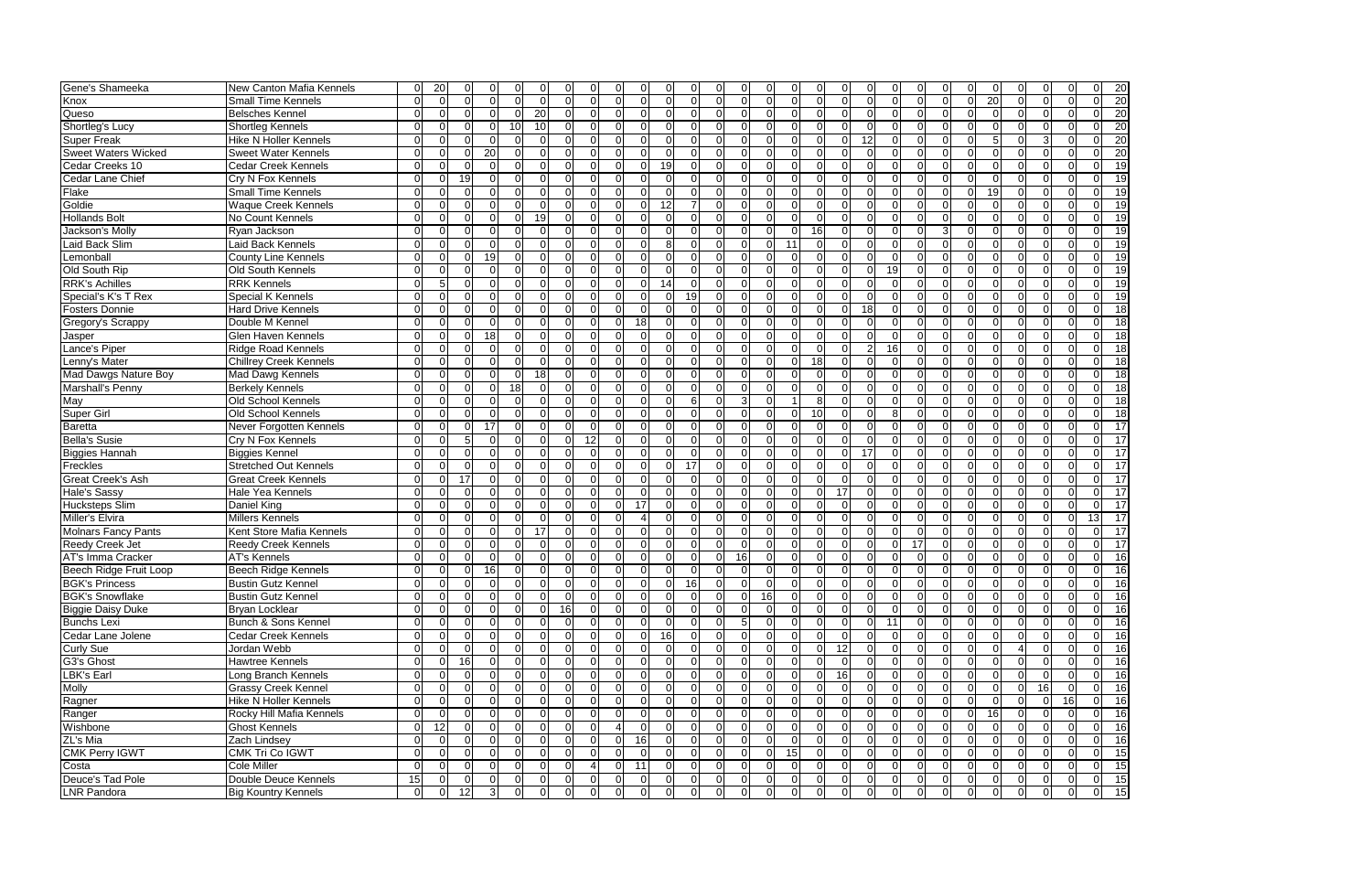| Gene's Shameeka            | New Canton Mafia Kennels                     |          | 20             |                |                 |                |                      |                |              |          |                          |              | 0                    |                | 0                    |               |                                  |                                  |                |                |    |          | 20              |
|----------------------------|----------------------------------------------|----------|----------------|----------------|-----------------|----------------|----------------------|----------------|--------------|----------|--------------------------|--------------|----------------------|----------------|----------------------|---------------|----------------------------------|----------------------------------|----------------|----------------|----|----------|-----------------|
| Knox                       | Small Time Kennels                           | ∩        | $\sqrt{ }$     | $\Omega$       | $\Omega$        |                | $\Omega$<br>ി        | $\Omega$       |              |          | $\Omega$                 | <sup>0</sup> | $\Omega$<br>$\Omega$ | $\Omega$       | $\Omega$             | $\Omega$      | $\Omega$                         | $\Omega$                         | 20             | $\Omega$       |    | ∩        | $\overline{20}$ |
| Queso                      | <b>Belsches Kennel</b>                       | ∩        | $\Omega$       | ∩              | $\Omega$        | 20             | ∩                    | ∩              |              |          | ∩                        |              | $\Omega$<br>$\Omega$ | $\Omega$       | 0                    | <sup>0</sup>  |                                  | $\Omega$                         | $\Omega$       | $\Omega$       |    |          | 20              |
| Shortleg's Lucy            | Shortleg Kennels                             | ∩        | C              |                | ∩               | 10<br>10       |                      | ∩              |              |          |                          |              | $\Omega$<br>∩        | $\Omega$       | $\Omega$             | $\Omega$      | $\Omega$                         | $\Omega$                         | $\Omega$       | <sup>0</sup>   |    |          | 20              |
| <b>Super Freak</b>         | <b>Hike N Holler Kennels</b>                 | ∩        | -C             |                | $\Omega$        |                |                      | $\Omega$       |              |          |                          |              | $\Omega$<br>∩        | $\Omega$       | 0.                   | 12            |                                  | $\Omega$                         |                | <sup>0</sup>   |    |          | 20              |
| <b>Sweet Waters Wicked</b> | <b>Sweet Water Kennels</b>                   | $\Omega$ | $\sqrt{ }$     | $\Omega$       | 20              |                |                      | 0              |              |          |                          |              | $\Omega$<br>∩        | $\Omega$       | 0.                   | $\Omega$      |                                  | $\Omega$                         | $\Omega$       | 0              |    |          | 20              |
| Cedar Creeks 10            | <b>Cedar Creek Kennels</b>                   | ∩        |                | $\Omega$       | $\Omega$        |                |                      | 0              |              |          | 19                       |              | $\Omega$             | $\Omega$       | $\Omega$             |               |                                  | $\Omega$                         | $\Omega$       |                |    |          | 19              |
| Cedar Lane Chief           | Cry N Fox Kennels                            | U        | $\sqrt{ }$     | 19             | $\Omega$        |                |                      | 0              |              |          | $\Omega$                 |              | $\Omega$             | $\Omega$       | $\Omega$             | $\Omega$      |                                  | $\overline{0}$<br>ΩI             | $\Omega$       | 0              |    | ∩        | 19              |
| Flake                      | <b>Small Time Kennels</b>                    | ∩        | $\sqrt{ }$     | $\Omega$       | $\Omega$        |                | ∩                    | ∩              |              |          | $\Omega$                 |              | $\Omega$<br>$\Omega$ | $\Omega$       | $\Omega$             | <sup>0</sup>  |                                  | $\Omega$<br>$\Omega$             | 19             | $\Omega$       |    | ∩        | -19             |
| Goldie                     | <b>Waque Creek Kennels</b>                   | $\Omega$ | $\Omega$       | $\Omega$       | $\Omega$        |                | $\Omega$<br>- 0      | $\Omega$       | 0            | $\Omega$ | $\overline{12}$<br>7     | $\Omega$     | $\Omega$<br>$\Omega$ | $\Omega$       | $\Omega$<br>∩        | $\Omega$      | $\Omega$                         | $\overline{0}$<br>$\Omega$       | $\Omega$       | $\Omega$       |    | $\Omega$ | 19              |
| <b>Hollands Bolt</b>       | No Count Kennels                             | $\Omega$ | $\Omega$       | $\Omega$       | $\Omega$        | 19<br>$\Omega$ | $\Omega$             | $\Omega$       | $\Omega$     | $\Omega$ | $\Omega$<br><sup>0</sup> | $\Omega$     | $\Omega$<br>$\Omega$ | $\Omega$       | $\Omega$<br>$\Omega$ | $\Omega$      | $\Omega$<br>ΩI                   | $\Omega$<br>$\Omega$             | $\Omega$       | $\Omega$       |    | ∩        | 19              |
| Jackson's Molly            | Ryan Jackson                                 | $\Omega$ | $\Omega$       | $\Omega$       | $\Omega$        |                | $\Omega$<br>$\Omega$ | $\Omega$       | $\Omega$     | $\cap$   | $\Omega$<br><sup>0</sup> | $\Omega$     | $\Omega$<br>$\Omega$ | $\Omega$       | 16                   | $\Omega$      | $\Omega$<br>$\Omega$             | $\Omega$<br>3                    | $\Omega$       | $\Omega$       |    | $\Omega$ | 19              |
| Laid Back Slim             | Laid Back Kennels                            | U        | $\Omega$       | U              | $\Omega$        |                | ∩                    | $\Omega$       |              |          | 8                        | <sup>0</sup> | $\Omega$<br>$\Omega$ | -11            | $\Omega$             | $\Omega$      | $\Omega$                         | $\Omega$<br>∩                    | $\Omega$       | $\Omega$       |    | ∩        | 19              |
| Lemonball                  | <b>County Line Kennels</b>                   | U        |                | $\Omega$       | 19              |                |                      |                |              |          |                          |              | $\Omega$             | $\Omega$       | $\Omega$             |               |                                  | $\Omega$                         |                | ∩              |    |          | 19              |
| Old South Rip              | Old South Kennels                            | U        |                |                | $\Omega$        |                |                      | 0              |              |          |                          |              | $\Omega$             | $\Omega$       | $\Omega$             | <sup>0</sup>  | 19<br>∩                          | $\Omega$                         | $\Omega$       | ∩              |    |          | 19              |
| <b>RRK's Achilles</b>      | <b>RRK Kennels</b>                           | ∩        |                |                | $\Omega$        |                |                      |                |              |          | 14                       |              | $\Omega$             | $\Omega$       | $\Omega$             |               |                                  | $\Omega$                         | $\Omega$       | ∩              |    |          | 19              |
| Special's K's T Rex        | Special K Kennels                            | U        |                |                | ∩               |                |                      |                |              |          | 19                       | <sup>0</sup> | $\Omega$<br>$\Omega$ | $\Omega$       | 0.                   |               |                                  | $\Omega$                         | ΩI             | ∩              |    |          | -19             |
| <b>Fosters Donnie</b>      |                                              | U        |                |                | ∩               |                |                      |                |              |          |                          |              | $\Omega$             | ∩              | <sup>0</sup>         | 18            |                                  | $\Omega$                         |                |                |    |          | 18              |
|                            | <b>Hard Drive Kennels</b><br>Double M Kennel |          |                |                | $\Omega$        |                |                      |                |              | 18       |                          |              | $\Omega$             | ∩              | <sup>0</sup>         |               |                                  | $\Omega$                         |                |                |    |          | 18              |
| Gregory's Scrappy          |                                              | ∩        | C              |                |                 |                |                      |                |              |          |                          |              |                      | $\Omega$       | $\Omega$             |               |                                  | $\Omega$                         | $\Omega$       | <sup>0</sup>   |    |          |                 |
| Jasper                     | Glen Haven Kennels                           | ∩        | $\sqrt{ }$     |                | 18              |                |                      |                |              |          |                          |              | $\Omega$<br>$\Omega$ |                |                      |               |                                  |                                  |                |                |    |          | 18              |
| ance's Piper               | <b>Ridge Road Kennels</b>                    | ∩        |                |                | $\Omega$        |                |                      |                |              |          |                          |              | $\Omega$<br>∩        | $\Omega$       | 0.                   |               | 16I                              | $\Omega$                         | $\Omega$       |                |    |          | 18              |
| enny's Mater               | <b>Chillrey Creek Kennels</b>                |          | C              |                | $\Omega$        |                |                      |                |              |          |                          |              | $\Omega$             | $\Omega$       | 18                   |               |                                  | $\Omega$                         | $\Omega$       |                |    |          | 18              |
| Mad Dawgs Nature Boy       | Mad Dawg Kennels                             | ∩        | $\sqrt{ }$     | $\Omega$       | $\Omega$        | 18             |                      |                |              |          |                          |              | ∩<br>$\Omega$        | $\Omega$       | $\Omega$             |               |                                  | $\Omega$                         | $\Omega$       |                |    |          | 18              |
| Marshall's Penny           | <b>Berkely Kennels</b>                       | ∩        | $\sqrt{ }$     |                | $\Omega$        |                |                      |                |              |          |                          |              | $\Omega$             |                | $\Omega$             |               |                                  | $\Omega$                         | $\Omega$       |                |    |          | 18              |
| May                        | Old School Kennels                           | U        | $\sqrt{ }$     |                | $\Omega$        |                |                      |                |              |          | 6                        |              | $\Omega$             |                | 8                    |               |                                  | $\Omega$<br>U                    | $\overline{0}$ | <sup>0</sup>   |    |          | 18              |
| <b>Super Girl</b>          | Old School Kennels                           | U        | $\Omega$       | U              | $\Omega$        |                | $\Omega$<br>0        |                |              |          | $\Omega$                 | <sup>0</sup> | $\Omega$<br>$\Omega$ | $\Omega$       | 10 <sup>1</sup>      | <sup>0</sup>  |                                  | $\Omega$<br>$\Omega$             | $\Omega$       | 0              |    | ∩        | 18              |
| Baretta                    | Never Forgotten Kennels                      | $\Omega$ | $\Omega$       | $\Omega$       | $\overline{17}$ |                | $\Omega$<br>$\Omega$ | ∩              |              |          | $\Omega$                 | $\Omega$     | $\Omega$<br>∩        | $\Omega$       | $\Omega$             | <sup>0</sup>  |                                  | $\Omega$<br>U                    | $\Omega$       | $\Omega$       |    |          | 17              |
| <b>Bella's Susie</b>       | Cry N Fox Kennels                            | ∩        | $\Omega$       | 5 <sub>l</sub> | $\Omega$        |                | $\Omega$<br>$\Omega$ | 12             | 0            | $\Omega$ | $\Omega$<br>∩            | ΩI           | $\Omega$<br>$\Omega$ | $\Omega$       | $\Omega$             | $\Omega$<br>∩ | $\Omega$                         | $\Omega$<br>$\Omega$             | $\Omega$       | $\Omega$       |    | ∩        | 17              |
| <b>Biggies Hannah</b>      | <b>Biggies Kennel</b>                        | ∩        | $\Omega$       | $\Omega$       | $\Omega$        |                | ∩                    | $\Omega$       |              |          | $\Omega$                 | $\Omega$     | $\Omega$<br>$\Omega$ | $\Omega$       | $\Omega$             | 17            | $\Omega$                         | $\Omega$                         | $\Omega$       | $\Omega$       |    | $\Omega$ | 17              |
| Freckles                   | <b>Stretched Out Kennels</b>                 | U        | ∩              | $\Omega$       | $\Omega$        |                | ∩                    | $\Omega$       |              |          | 17<br>$\Omega$           | ΩI           | $\Omega$<br>$\Omega$ | $\Omega$       | $\Omega$<br>∩        | $\Omega$      | $\Omega$<br>$\Omega$             | $\Omega$<br>∩                    | $\Omega$       | $\Omega$       |    | $\Omega$ | 17              |
| <b>Great Creek's Ash</b>   | <b>Great Creek Kennels</b>                   | $\Omega$ |                | 17             | $\Omega$        |                |                      |                |              |          |                          |              | $\Omega$             | <sup>0</sup>   | $\Omega$             |               |                                  | $\Omega$                         |                | ∩              |    |          | 17              |
| <b>Hale's Sassy</b>        | Hale Yea Kennels                             | U        |                | $\Omega$       | $\Omega$        |                |                      |                |              |          |                          |              | $\Omega$             | $\Omega$       | 17<br>$\Omega$       | $\Omega$      |                                  | $\Omega$                         |                | ∩              |    |          | 17              |
| <b>Hucksteps Slim</b>      | Daniel King                                  | U        |                | ∩              | $\Omega$        |                |                      |                |              | 17       |                          |              | $\Omega$             | $\Omega$       | $\Omega$             | <sup>0</sup>  | $\Omega$                         | $\Omega$<br>ΩI                   | $\Omega$       | $\Omega$       |    |          | 17              |
| Miller's Elvira            | Millers Kennels                              | U        |                |                | $\Omega$        |                |                      |                |              |          |                          |              | $\Omega$             | $\Omega$       | $\Omega$             |               |                                  | $\Omega$                         | ΩI             | ∩              |    | 131      | 17              |
| <b>Molnars Fancy Pants</b> | Kent Store Mafia Kennels                     | U        |                |                | $\Omega$        | 17             |                      |                |              |          |                          | O            | $\Omega$             | $\Omega$       | $\Omega$             |               |                                  | $\Omega$                         | ΩI             | <sup>0</sup>   |    |          | 17              |
| <b>Reedy Creek Jet</b>     | Reedy Creek Kennels                          | ∩        |                |                | $\Omega$        |                |                      | ∩              |              |          |                          |              | $\Omega$             | $\Omega$       | 0                    | <sup>0</sup>  | 17                               | $\Omega$                         | $\Omega$       | <sup>0</sup>   |    |          | 17              |
| AT's Imma Cracker          | <b>AT's Kennels</b>                          | ∩        | C              |                | $\Omega$        |                |                      | <sup>0</sup>   |              |          | $\Omega$                 | 0            | 16<br>$\Omega$       | $\Omega$       | $\Omega$             | $\Omega$      | $\Omega$                         | $\overline{0}$                   | $\Omega$       | $\Omega$       |    |          | 16              |
| Beech Ridge Fruit Loop     | Beech Ridge Kennels                          | ∩        |                |                | 16              |                |                      |                |              |          |                          |              | $\Omega$<br>$\Omega$ | $\Omega$       | $\Omega$             | $\Omega$      |                                  | $\Omega$                         | $\Omega$       | $\Omega$       |    |          | 16              |
| <b>BGK's Princess</b>      | <b>Bustin Gutz Kennel</b>                    | 0        | $\overline{0}$ | 0              | 0               | -UI            | υı<br>UI.            | υı             | υ            | -U       | 16<br><sup>O</sup>       | υ            | U<br>$\cup$          | υL             | υI                   | υL<br>υ       | υı<br>υı                         | υı                               | 0 <br>υ        | υı             | υı | -UI      | 16<br>UI        |
| <b>BGK's Snowflake</b>     | <b>Bustin Gutz Kennel</b>                    | ΩI       | $\Omega$       | 0I             | $\overline{0}$  | $\Omega$       | $\Omega$<br>$\Omega$ | $\overline{0}$ | 0            | $\Omega$ | $\Omega$<br>-0           | $\Omega$     | 16<br>$\overline{0}$ | 0I             | 0I<br>$\Omega$       | $\Omega$      | $\overline{0}$<br>$\overline{0}$ | $\overline{0}$<br>$\overline{0}$ | 0I             | <sup>O</sup>   |    |          | 16              |
| <b>Biggie Daisy Duke</b>   | Bryan Locklear                               | $\Omega$ | $\Omega$       | $\Omega$       | $\Omega$        |                | 16<br>$\Omega$       | $\Omega$       |              |          | $\Omega$                 |              | $\Omega$<br>$\Omega$ | $\overline{0}$ | $\overline{0}$       |               | $\Omega$                         | $\overline{0}$<br>ΟI             | $\overline{0}$ | $\overline{0}$ |    |          | $\overline{16}$ |
| <b>Bunchs Lexi</b>         | Bunch & Sons Kennel                          | U        | $\Omega$       | $\Omega$       | $\Omega$        |                | $\Omega$<br>$\Omega$ | $\Omega$       |              |          | $\Omega$                 | ΩI           | $\Omega$             | $\overline{0}$ | $\Omega$             | $\Omega$      | $\Omega$<br>11                   | $\overline{0}$<br>$\Omega$       | $\overline{0}$ | $\overline{0}$ |    | $\Omega$ | 16              |
| Cedar Lane Jolene          | Cedar Creek Kennels                          | $\Omega$ | $\Omega$       | $\Omega$       | $\Omega$        |                | $\Omega$<br>$\Omega$ |                |              |          | $\overline{16}$          | <sup>0</sup> | $\Omega$<br>$\Omega$ | $\Omega$       | $\Omega$             |               |                                  | $\Omega$<br>ΩI                   | $\Omega$       | $\Omega$       |    |          | $\overline{16}$ |
| <b>Curly Sue</b>           | Jordan Webb                                  | U        | $\Omega$       | $\Omega$       | $\Omega$        |                | $\Omega$<br>$\Omega$ |                |              |          | $\Omega$                 | $\Omega$     | $\Omega$<br>$\Omega$ | $\Omega$       | 12<br>$\Omega$       | $\Omega$      |                                  | $\mathbf 0$<br>ΩI                | $\Omega$       |                |    | $\Omega$ | $\frac{1}{6}$   |
| G3's Ghost                 | Hawtree Kennels                              | $\Omega$ | $\Omega$       | 16             | $\Omega$        |                | $\Omega$<br>$\Omega$ | $\Omega$       | $\Omega$     | $\Omega$ | $\Omega$<br>$\Omega$     | $\Omega$     | $\Omega$<br>$\Omega$ | $\Omega$       | $\Omega$<br>$\Omega$ | $\Omega$      | $\Omega$<br>$\Omega$             | $\Omega$<br>$\Omega$             | $\Omega$       | $\Omega$       |    | $\Omega$ | 16              |
| LBK's Earl                 | Long Branch Kennels                          | U        | $\Omega$       | $\Omega$       | $\Omega$        |                | $\Omega$<br>$\Omega$ | $\Omega$       |              |          | $\Omega$                 | <sup>0</sup> | $\Omega$<br>$\Omega$ | $\Omega$       | 16<br>$\Omega$       | $\Omega$      | $\Omega$<br>$\Omega$             | $\overline{0}$<br>$\Omega$       | $\Omega$       | $\Omega$       |    | $\Omega$ | 16              |
| <b>Molly</b>               | <b>Grassy Creek Kennel</b>                   | U        | $\Omega$       | $\Omega$       | $\Omega$        |                | $\Omega$<br>$\Omega$ | $\Omega$       | <sup>n</sup> |          | $\Omega$<br>n            | <sup>0</sup> | $\Omega$<br>$\Omega$ | $\Omega$       | $\Omega$<br>$\Omega$ | $\Omega$      | $\Omega$                         | $\overline{0}$<br>$\Omega$       | $\Omega$       | $\Omega$       | 16 | $\Omega$ | 16              |
| Ragner                     | <b>Hike N Holler Kennels</b>                 | $\Omega$ | $\Omega$       | $\Omega$       | $\Omega$        |                | ∩                    | 0              |              |          | <sup>0</sup>             | <sup>0</sup> | $\Omega$             | $\Omega$       | $\Omega$             | $\Omega$      | $\Omega$                         | $\overline{0}$<br>ΩI             | ΟI             | $\Omega$       |    | 16       | $\overline{16}$ |
| Ranger                     | Rocky Hill Mafia Kennels                     | ∩        | $\Omega$       | $\Omega$       | $\Omega$        |                |                      | $\Omega$       |              |          |                          |              | $\Omega$             | $\Omega$       | $\Omega$             | <sup>0</sup>  |                                  | $\overline{0}$                   | 16             | $\Omega$       |    |          | $\overline{16}$ |
| Wishbone                   | <b>Ghost Kennels</b>                         | 0        | 12             | <sup>0</sup>   | $\Omega$        |                | $\Omega$             | $\Omega$       |              |          | $\Omega$                 | $\Omega$     | $\Omega$<br>$\Omega$ | $\Omega$       | 0I                   | $\Omega$      | $\Omega$<br>$\Omega$             | $\Omega$<br>$\overline{0}$       | ΟI             | $\Omega$       |    | n        | $\overline{16}$ |
| ZL's Mia                   | Zach Lindsey                                 | U        | ∩              | $\Omega$       | $\Omega$        |                |                      | $\Omega$       |              | 16       |                          |              | $\Omega$<br>$\Omega$ | $\Omega$       | $\Omega$             |               |                                  | $\Omega$<br>ΩI                   | $\Omega$       | $\Omega$       |    |          | 16              |
| <b>CMK Perry IGWT</b>      | <b>CMK Tri Co IGWT</b>                       | 0        | $\Omega$       | $\Omega$       | $\Omega$        |                | $\Omega$<br>ΩI       | $\Omega$       |              |          |                          | 0            | ΟI<br>$\Omega$       | 15             | $\overline{0}$       | <sup>0</sup>  | $\Omega$                         | $\overline{0}$<br>$\Omega$       | ΟI             | $\Omega$       |    |          | $\overline{15}$ |
| Costa                      | Cole Miller                                  | ∩        | $\Omega$       | $\Omega$       | $\Omega$        |                |                      | 4              |              | 11       |                          |              | $\Omega$<br>$\Omega$ | $\Omega$       | 01                   |               |                                  | $\overline{0}$<br>$\Omega$       | $\Omega$       | $\Omega$       |    |          | 15              |
| Deuce's Tad Pole           | Double Deuce Kennels                         | 15       | $\Omega$       | $\Omega$       | $\Omega$        |                | $\Omega$<br>0        | $\Omega$       | 0            | $\Omega$ | $\Omega$<br>0            | $\Omega$     | 0 I<br>$\Omega$      | $\Omega$       | $\overline{0}$<br>ΩI | $\Omega$      | $\overline{0}$<br>ΟI             | $\overline{0}$<br>$\overline{0}$ | ΟI             | $\overline{0}$ |    | $\Omega$ | $\overline{15}$ |
| LNR Pandora                | <b>Big Kountry Kennels</b>                   | 0        | $\Omega$       | 12             | $\overline{3}$  |                | $\Omega$<br>ΩI       | $\Omega$       |              | $\Omega$ | $\Omega$                 | 0            | $\Omega$<br>$\Omega$ | $\Omega$       | $\Omega$             | $\Omega$      | 0                                | $\overline{0}$<br>$\Omega$       | $\Omega$       | $\Omega$       |    | $\Omega$ | 15 <br>ΩL       |
|                            |                                              |          |                |                |                 |                |                      |                |              |          |                          |              |                      |                |                      |               |                                  |                                  |                |                |    |          |                 |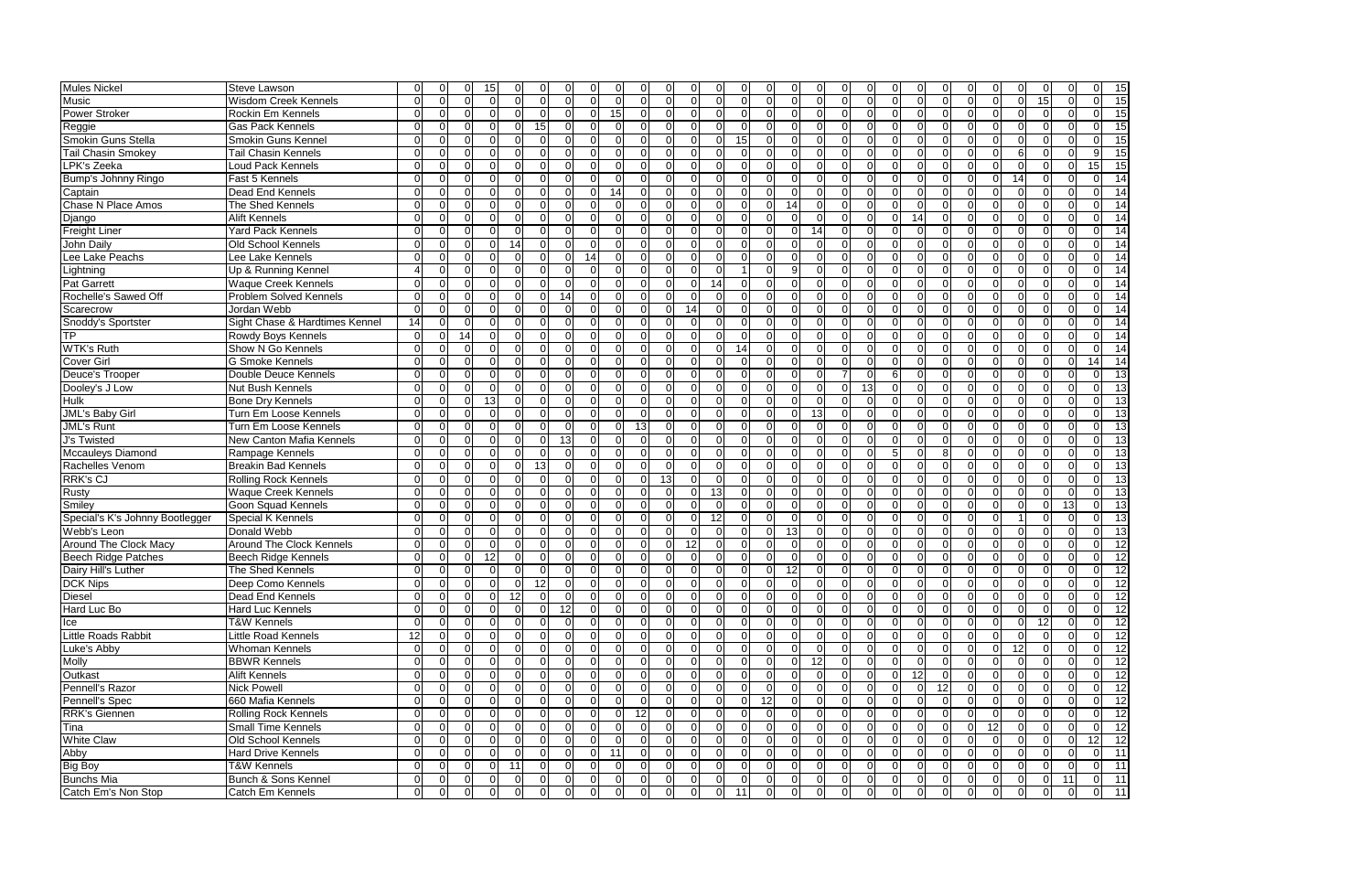| <b>Mules Nickel</b>             | Steve Lawson                                         | O               |                |                |                |                |          |                |                |                |                 |                 |                 |                 |                |                |                |                |    |                                  |                |                |                |                |                |                 |              |                 |                                    |
|---------------------------------|------------------------------------------------------|-----------------|----------------|----------------|----------------|----------------|----------|----------------|----------------|----------------|-----------------|-----------------|-----------------|-----------------|----------------|----------------|----------------|----------------|----|----------------------------------|----------------|----------------|----------------|----------------|----------------|-----------------|--------------|-----------------|------------------------------------|
|                                 |                                                      |                 |                |                | 15             |                |          |                |                |                |                 | $\Omega$        |                 | $\Omega$        |                |                |                | $\Omega$       |    |                                  |                |                |                |                |                |                 |              |                 | 15                                 |
| Music                           | <b>Wisdom Creek Kennels</b>                          | $\Omega$        |                |                |                |                |          |                | ∩              | $\Omega$       | ∩               | $\Omega$        | $\Omega$        |                 |                | $\Omega$       |                |                |    |                                  | $\Omega$       |                | $\Omega$       |                | $\Omega$       | 15 <sup>1</sup> |              |                 | 15                                 |
| Power Stroker                   | Rockin Em Kennels                                    | ∩               |                |                |                |                |          |                | $\Omega$       | 15             | $\Omega$        | $\Omega$        | $\Omega$        | $\Omega$        |                | 0              |                | $\Omega$       |    |                                  | $\Omega$       |                | $\Omega$       |                |                |                 |              |                 | 15                                 |
| Reggie                          | <b>Gas Pack Kennels</b>                              | U               |                |                |                |                | 15       |                | $\Omega$       | $\Omega$       | ∩               | $\Omega$        | $\Omega$        | $\Omega$        |                | $\Omega$       |                | $\Omega$       |    | $\Omega$                         | $\Omega$       |                | $\Omega$       |                |                |                 |              |                 | 15                                 |
| Smokin Guns Stella              | Smokin Guns Kennel                                   | <sup>0</sup>    |                |                |                |                |          | n              | <sup>0</sup>   | 0              | $\Omega$        | $\Omega$        | $\Omega$        | $\Omega$        | -15            | 0.             | $\Omega$       | <sup>O</sup>   |    | $\Omega$<br>$\Omega$             | $\Omega$       |                | $\Omega$       |                | <sup>0</sup>   |                 |              |                 | 15                                 |
| <b>Tail Chasin Smokey</b>       | Tail Chasin Kennels                                  | U               |                |                |                |                |          |                | ∩              | 0              | $\Omega$        | $\Omega$        | $\Omega$        | $\Omega$        |                | $\Omega$       | $\Omega$       | $\Omega$       |    |                                  | $\Omega$       |                | $\Omega$       |                | 6              |                 |              |                 | 15                                 |
| LPK's Zeeka                     | Loud Pack Kennels                                    | U               |                |                |                |                |          |                |                |                | ∩               | $\Omega$        | $\Omega$        |                 |                | 0              | $\Omega$       | $\Omega$       |    |                                  | $\Omega$       |                |                |                |                |                 |              | 15              | 15                                 |
| Bump's Johnny Ringo             | Fast 5 Kennels                                       | 0               |                |                |                |                |          | $\Omega$       | $\Omega$       | 0              | $\Omega$        | $\Omega$        | $\Omega$        | $\Omega$        |                | $\Omega$       | 0              | $\overline{0}$ |    | $\Omega$<br>$\Omega$             | 0I             |                | $\Omega$       | 0              | 14             |                 |              |                 | 14                                 |
| Captain                         | Dead End Kennels                                     | U               | $\Omega$       | 0              |                |                |          | $\Omega$       | $\Omega$       | 14             | $\Omega$        | $\Omega$        | $\Omega$        | $\Omega$        |                | $\Omega$       |                | $\Omega$       |    | $\Omega$<br>ΩI                   | $\Omega$       |                | $\Omega$       | ΩI             | $\Omega$       |                 | ∩            |                 | -14                                |
| <b>Chase N Place Amos</b>       | The Shed Kennels                                     | $\Omega$        | <sup>0</sup>   | $\Omega$       |                | ΩI             |          | $\Omega$       | 0              | $\Omega$       | $\Omega$        | $\Omega$        | $\Omega$        | $\Omega$        | $\Omega$       | $\Omega$       | 14             | $\overline{0}$ |    | $\Omega$<br>ΩI                   | $\Omega$       | $\Omega$       | $\overline{0}$ | $\Omega$       | $\Omega$       |                 | $\Omega$     |                 | 14                                 |
| Django                          | <b>Alift Kennels</b>                                 | $\Omega$        | $\cap$         | $\Omega$       | ∩              | ΩI             |          | $\Omega$       | $\Omega$       | $\Omega$       | $\Omega$        | $\Omega$        | $\Omega$        | $\Omega$        | $\Omega$       | $\Omega$       | $\Omega$       | $\Omega$       |    | $\Omega$<br>$\Omega$             | 14             | ΩI             | $\Omega$       |                | $\Omega$       |                 | ∩            |                 | 14                                 |
| <b>Freight Liner</b>            | <b>Yard Pack Kennels</b>                             | $\Omega$        | $\Omega$       | $\Omega$       |                | $\Omega$       |          | <sup>O</sup>   | $\Omega$       | $\Omega$       | $\Omega$        | $\Omega$        | $\Omega$        | $\Omega$        | $\Omega$       | $\Omega$       | $\Omega$       | 14             |    | $\Omega$<br>$\Omega$             | 0l             | ΩI             | $\Omega$       | <sup>n</sup>   | $\Omega$       |                 | $\Omega$     |                 | 14                                 |
| John Daily                      | Old School Kennels                                   | U               |                | <sup>0</sup>   | n              | 14             |          | <sup>0</sup>   | ∩              | U              | ∩               | $\Omega$        | $\Omega$        | $\Omega$        |                | $\Omega$       |                | $\Omega$       |    | $\Omega$<br>ΩI                   | $\Omega$       |                | $\Omega$       |                | $\Omega$       |                 | ∩            |                 | 14                                 |
| Lee Lake Peachs                 | Lee Lake Kennels                                     | $\Omega$        |                |                |                |                |          | $\Omega$       | 14             | $\Omega$       | ∩               | $\Omega$        | $\Omega$        | $\Omega$        |                | $\Omega$       |                | $\Omega$       |    | $\Omega$                         | $\Omega$       |                | $\Omega$       |                | ∩              |                 |              |                 | 14                                 |
| Lightning                       | Up & Running Kennel                                  | Δ               |                |                |                |                |          |                | ∩              |                |                 | $\Omega$        | $\Omega$        | $\Omega$        |                | 0              |                | $\Omega$       |    | $\Omega$                         | $\Omega$       |                | $\Omega$       |                | ∩              |                 |              |                 | 14                                 |
| <b>Pat Garrett</b>              | <b>Waque Creek Kennels</b>                           | U               |                |                |                |                |          | $\Omega$       | $\Omega$       | ΩI             | $\Omega$        | $\Omega$        | $\Omega$        | 14              |                | $\Omega$       | <sup>0</sup>   | $\Omega$       |    | <sup>0</sup><br>ΩI               | $\Omega$       |                | $\Omega$       |                | ∩              |                 |              |                 | 14                                 |
| Rochelle's Sawed Off            | Problem Solved Kennels                               | U               |                |                |                |                |          | 14             | ∩              | ΩI             | $\Omega$        | $\Omega$        | $\Omega$        | $\Omega$        |                | <sup>0</sup>   |                | $\Omega$       |    |                                  | $\Omega$       |                | $\Omega$       |                | ∩              |                 |              |                 | -14                                |
| Scarecrow                       | Jordan Webb                                          | $\Omega$        |                |                |                |                |          |                |                | U              | ∩               | $\Omega$        | 14              | $\Omega$        |                | <sup>0</sup>   |                | ∩              |    |                                  | $\Omega$       |                | $\Omega$       |                |                |                 |              |                 | -14                                |
|                                 |                                                      | 14              |                |                |                |                |          |                | ∩              | U              | $\Omega$        | $\Omega$        | $\Omega$        | $\Omega$        |                | 0              |                | $\Omega$       |    |                                  | $\Omega$       |                | $\Omega$       |                |                |                 |              |                 | 14                                 |
| Snoddy's Sportster<br><b>TP</b> | Sight Chase & Hardtimes Kennel<br>Rowdy Boys Kennels | $\Omega$        |                | 14             |                |                |          |                | $\Omega$       | U              | ∩               | $\Omega$        | $\Omega$        | $\Omega$        |                | $\Omega$       |                | $\Omega$       |    |                                  | $\Omega$       |                | $\Omega$       |                |                |                 |              |                 | 14                                 |
|                                 |                                                      |                 |                |                |                |                |          |                |                |                |                 |                 |                 |                 |                |                |                |                |    |                                  |                |                |                |                |                |                 |              |                 |                                    |
| <b>WTK's Ruth</b>               | Show N Go Kennels                                    | ∩               |                |                |                |                |          |                | ∩              | U              | $\Omega$        | $\Omega$        | $\Omega$        | $\Omega$        | 14             | $\Omega$       |                | $\Omega$       |    | $\Omega$<br>ΩI                   | $\Omega$       |                | $\Omega$       |                |                |                 |              |                 | 14                                 |
| Cover Girl                      | <b>G Smoke Kennels</b>                               |                 |                |                |                |                |          |                | $\Omega$       |                | ∩               | $\Omega$        | $\Omega$        | <sup>0</sup>    |                | $\Omega$       | ∩              | $\Omega$       |    |                                  | $\Omega$       |                | $\Omega$       |                |                |                 |              |                 | 14                                 |
| Deuce's Trooper                 | Double Deuce Kennels                                 | U               |                |                |                |                |          |                | $\Omega$       | ∩              | ∩               | $\Omega$        | $\Omega$        | $\Omega$        |                | $\Omega$       |                | $\Omega$       |    |                                  | $\Omega$       |                | $\Omega$       |                |                |                 |              |                 | 13                                 |
| Dooley's J Low                  | <b>Nut Bush Kennels</b>                              | U               |                |                |                |                |          | $\Omega$       | $\Omega$       |                | ∩               | $\Omega$        | $\Omega$        | $\Omega$        |                | $\Omega$       |                | $\Omega$       |    | 13<br>$\Omega$                   | $\Omega$       |                | $\Omega$       |                |                |                 |              |                 | 13                                 |
| <b>Hulk</b>                     | <b>Bone Dry Kennels</b>                              | O               |                |                | 13             |                |          | $\Omega$       | $\Omega$       |                | $\Omega$        | $\Omega$        | $\Omega$        | <sup>0</sup>    |                | $\Omega$       |                | $\Omega$       |    | $\Omega$                         | $\overline{0}$ |                | $\Omega$       |                |                |                 |              |                 | 13                                 |
| <b>JML's Baby Girl</b>          | Turn Em Loose Kennels                                | 0               | $\Omega$       | 0              | $\Omega$       | $\Omega$       | $\Omega$ | <sup>O</sup>   | $\Omega$       | $\Omega$       | $\Omega$        | $\Omega$        | $\Omega$        | $\Omega$        | $\Omega$       | $\Omega$       | $\Omega$       | 13             |    | $\Omega$<br>ΩI                   | 0l             | ΩI             | $\Omega$       | $\Omega$       | $\Omega$       |                 | $\Omega$     |                 | -13                                |
| <b>JML's Runt</b>               | Turn Em Loose Kennels                                | $\Omega$        |                | 0              |                | $\Omega$       |          | $\Omega$       | $\Omega$       | $\Omega$       | $\overline{13}$ | $\Omega$        | $\Omega$        | $\Omega$        |                | $\Omega$       |                | $\Omega$       |    | $\Omega$                         | $\Omega$       | ΩI             | $\Omega$       |                | $\Omega$       |                 |              |                 | 13                                 |
| <b>J's Twisted</b>              | New Canton Mafia Kennels                             | $\Omega$        | ∩              | 0              | ∩              | ΩI             |          | 13             | $\Omega$       | $\Omega$       | $\Omega$        | $\Omega$        | $\Omega$        | $\Omega$        | ∩              | $\Omega$       | ∩              | $\Omega$       |    | $\Omega$<br>$\Omega$             | $\Omega$       | $\Omega$       | $\Omega$       |                | $\Omega$       |                 | ∩            |                 | 13                                 |
| <b>Mccauleys Diamond</b>        | Rampage Kennels                                      | $\Omega$        |                | 0              | $\Omega$       | ΩI             |          | $\Omega$       | $\Omega$       | $\Omega$       | $\Omega$        | $\Omega$        | $\Omega$        | $\Omega$        |                | $\Omega$       | $\Omega$       | $\Omega$       |    | $\Omega$                         | $\overline{0}$ | 8              | $\Omega$       |                | $\Omega$       |                 | $\Omega$     |                 | 13                                 |
| Rachelles Venom                 | <b>Breakin Bad Kennels</b>                           | U               |                | <sup>0</sup>   | ∩              | n              | 13       | $\Omega$       | $\Omega$       | $\Omega$       | $\Omega$        | $\Omega$        | $\Omega$        | $\Omega$        | $\Omega$       | $\Omega$       | ΩI             | $\Omega$       |    | $\Omega$<br>ΩI                   | $\Omega$       |                | $\Omega$       |                | $\Omega$       |                 | $\Omega$     |                 | 13                                 |
| <b>RRK's CJ</b>                 | <b>Rolling Rock Kennels</b>                          | ΩI              |                |                |                |                |          |                | ∩              | $\Omega$       | $\Omega$        | $\overline{13}$ | $\Omega$        | $\Omega$        |                | $\Omega$       |                | $\Omega$       |    | <sup>0</sup>                     | $\Omega$       |                | $\Omega$       |                | ∩              |                 |              |                 | 13                                 |
| Rusty                           | <b>Waque Creek Kennels</b>                           | U               |                |                |                |                |          |                |                | U              |                 | $\Omega$        | $\Omega$        | 13 <sub>l</sub> |                | <sup>0</sup>   |                | $\Omega$       |    |                                  | $\Omega$       |                |                |                | ∩              |                 |              |                 | $\overline{13}$                    |
| Smiley                          | Goon Squad Kennels                                   | $\Omega$        |                |                |                |                |          | $\Omega$       | $\Omega$       | $\Omega$       | $\Omega$        | $\Omega$        | $\Omega$        | $\Omega$        |                | $\Omega$       | 0              | $\Omega$       |    | $\Omega$<br>ΩI                   | $\Omega$       |                | $\Omega$       |                | $\Omega$       |                 | 13           |                 | $\overline{13}$                    |
| Special's K's Johnny Bootlegger | Special K Kennels                                    | U               |                |                |                |                |          |                | ∩              | U              | $\Omega$        | $\Omega$        | $\Omega$        | 12 <sup>1</sup> |                | <sup>0</sup>   |                | $\Omega$       |    |                                  | $\Omega$       |                | $\Omega$       |                |                |                 |              |                 | 13                                 |
| Webb's Leon                     | Donald Webb                                          | ΩI              |                |                |                |                |          | <sup>0</sup>   | $\Omega$       | 0              | $\Omega$        | $\Omega$        | $\Omega$        | $\Omega$        |                | $\Omega$       | 13             | $\Omega$       |    |                                  | $\Omega$       |                | $\Omega$       |                | <sup>0</sup>   |                 |              |                 | 13                                 |
| Around The Clock Macy           | Around The Clock Kennels                             | ∩               |                |                |                |                |          |                | ∩              |                | $\Omega$        | $\Omega$        | 12 <sup>1</sup> | $\Omega$        |                | <sup>0</sup>   | ∩              | $\Omega$       |    |                                  | $\Omega$       |                | $\Omega$       |                |                |                 |              |                 | 12                                 |
| <b>Beech Ridge Patches</b>      | <b>Beech Ridge Kennels</b>                           | ΩI              |                |                | 12             |                |          | $\Omega$       | $\Omega$       | $\Omega$       | $\Omega$        | $\Omega$        | $\Omega$        | $\Omega$        |                | $\Omega$       | $\Omega$       | $\Omega$       |    | $\Omega$<br>ΩI                   | 0I             |                | $\Omega$       |                | 0              |                 |              |                 | 12                                 |
| Dairy Hill's Luther             | The Shed Kennels                                     | <sup>0</sup>    |                |                |                |                |          |                | $\Omega$       |                | 0               | $\Omega$        | $\Omega$        | $\Omega$        |                | 0.             | 12             | $\Omega$       |    | $\Omega$                         | $\Omega$       |                | $\Omega$       |                | $\Omega$       |                 |              |                 | 12                                 |
| <b>DCK Nips</b>                 | Deep Como Kennels                                    |                 |                |                |                |                |          |                |                |                |                 |                 |                 |                 |                |                |                |                |    |                                  |                |                |                |                |                |                 |              |                 |                                    |
|                                 |                                                      | 0               | <b>O</b>       | υ              | $\overline{0}$ | $\overline{0}$ | 12       | υ              | 0              | υ              | UΙ              | $\cup$          | υL              | υ               | υı             | υ              | υı             | υ              | υı | υ<br>υ                           | υ              | υı             | $\overline{0}$ | υ              | υı             | υı              | υı           | UI              | 12                                 |
| <b>Diesel</b>                   | Dead End Kennels                                     | ΟI              | $\overline{0}$ | $\overline{0}$ | $\overline{0}$ | 12             | $\Omega$ | $\overline{0}$ | $\overline{0}$ | $\Omega$       | $\overline{0}$  | $\overline{0}$  | $\overline{0}$  | $\overline{0}$  | $\overline{0}$ | 0l             | $\overline{0}$ | $\overline{0}$ |    | $\overline{0}$<br>$\overline{0}$ | 0              | $\overline{0}$ | $\overline{0}$ | $\overline{0}$ | $\overline{0}$ |                 |              |                 | $\overline{12}$<br>$\overline{12}$ |
| Hard Luc Bo                     | <b>Hard Luc Kennels</b>                              | $\Omega$        | $\Omega$       | <sup>0</sup>   | $\Omega$       | $\Omega$       |          | 12             | $\overline{0}$ | $\overline{0}$ | 0I              | $\overline{0}$  | $\Omega$        | $\Omega$        |                | $\overline{0}$ | $\overline{0}$ | $\overline{0}$ |    | $\mathbf 0$<br>$\overline{0}$    | 0              | $\overline{0}$ | $\overline{0}$ | $\overline{0}$ | $\Omega$       |                 | $\Omega$     |                 |                                    |
| Ice                             | <b>T&amp;W Kennels</b>                               | $\Omega$        | $\Omega$       | $\overline{0}$ | $\Omega$       | $\Omega$       |          | $\overline{0}$ | $\Omega$       | $\Omega$       | $\Omega$        | $\Omega$        | $\overline{0}$  | $\Omega$        | $\Omega$       | <sup>0</sup>   | ΟI             | $\overline{0}$ |    | $\overline{0}$<br>$\Omega$       | $\overline{0}$ | $\Omega$       | $\overline{0}$ | $\Omega$       | $\overline{0}$ | 12              | $\Omega$     | ΩL              | $\overline{12}$                    |
| Little Roads Rabbit             | Little Road Kennels                                  | 12 <sub>l</sub> | $\Omega$       | <sup>0</sup>   |                | $\Omega$       |          | $\Omega$       | $\Omega$       | $\Omega$       | $\Omega$        | $\Omega$        | $\Omega$        | ΩI              |                | $\Omega$       |                | $\Omega$       |    | $\Omega$                         | $\overline{0}$ | ΩI             | $\Omega$       |                | $\Omega$       |                 | <sup>0</sup> |                 | $\overline{12}$                    |
| Luke's Abby                     | Whoman Kennels                                       | ΩI              | $\Omega$       | $\Omega$       | $\Omega$       | $\Omega$       | $\Omega$ | $\Omega$       | $\Omega$       | $\Omega$       | $\Omega$        | $\Omega$        | $\Omega$        | $\Omega$        | $\Omega$       | $\Omega$       |                | $\Omega$       |    | $\Omega$<br>$\Omega$             | $\overline{0}$ | ΩI             | $\overline{0}$ | ΩI             | 12             |                 | $\Omega$     |                 | $\overline{12}$                    |
| <b>Molly</b>                    | <b>BBWR Kennels</b>                                  | ΩI              | $\Omega$       | $\overline{0}$ | $\Omega$       | $\Omega$       | $\Omega$ | $\Omega$       | $\Omega$       | $\Omega$       | $\Omega$        | $\Omega$        | $\Omega$        | $\Omega$        | $\Omega$       | $\Omega$       | $\Omega$       | 12             |    | $\Omega$<br>ΩI                   | $\overline{0}$ | ΩI             | $\Omega$       |                | $\Omega$       |                 | $\Omega$     |                 | $\overline{12}$                    |
| Outkast                         | Alift Kennels                                        | ΩI              | $\Omega$       | $\Omega$       | $\Omega$       | $\Omega$       |          | $\Omega$       | $\Omega$       | $\Omega$       | $\Omega$        | $\Omega$        | $\Omega$        | $\Omega$        | $\Omega$       | $\Omega$       | $\Omega$       | $\overline{0}$ |    | $\overline{0}$<br>$\overline{0}$ | 12             | $\Omega$       | $\Omega$       |                | $\Omega$       |                 | $\Omega$     |                 | 12                                 |
| Pennell's Razor                 | Nick Powell                                          | ΩI              | $\Omega$       | <sup>O</sup>   | $\Omega$       | $\Omega$       | $\Omega$ | $\Omega$       | <sup>0</sup>   | $\Omega$       | $\Omega$        | $\Omega$        | $\Omega$        | $\Omega$        | $\Omega$       | $\Omega$       | $\Omega$       | $\overline{0}$ |    | $\overline{0}$<br>$\Omega$       | $\overline{0}$ | 12             | $\overline{0}$ | $\Omega$       | $\Omega$       |                 | $\Omega$     |                 | $\overline{12}$                    |
| Pennell's Spec                  | 660 Mafia Kennels                                    | $\Omega$        |                | 0              | $\Omega$       | $\Omega$       |          | $\Omega$       | $\Omega$       | $\Omega$       | $\Omega$        | $\Omega$        | $\Omega$        | $\Omega$        |                | 12             | $\Omega$       | $\overline{0}$ |    | $\Omega$<br>$\Omega$             | $\overline{0}$ | ΩI             | $\overline{0}$ |                | $\Omega$       |                 |              |                 | $\overline{12}$                    |
| <b>RRK's Giennen</b>            | <b>Rolling Rock Kennels</b>                          | $\Omega$        | $\Omega$       | 0              | $\Omega$       | $\Omega$       |          | $\Omega$       | $\Omega$       | $\overline{0}$ | 12              | $\overline{0}$  | <sup>0</sup>    | $\Omega$        |                | $\Omega$       | $\Omega$       | $\overline{0}$ |    | $\Omega$<br>$\Omega$             | $\overline{0}$ | ΩI             | $\Omega$       |                | $\Omega$       |                 | <sup>0</sup> |                 | $\overline{12}$                    |
| Tina                            | <b>Small Time Kennels</b>                            | ΟI              | $\Omega$       | 0              | $\Omega$       |                |          | $\Omega$       | $\Omega$       | ΩI             | - OI            | $\overline{0}$  | $\Omega$        | $\Omega$        |                | 0              | $\Omega$       | $\overline{0}$ |    | $\overline{0}$<br><sup>O</sup>   | $\overline{0}$ | ΩL             | $\overline{0}$ | 12             | 0I             |                 | <sup>0</sup> |                 | 12                                 |
| <b>White Claw</b>               | Old School Kennels                                   | $\Omega$        | $\Omega$       | . OI           | $\Omega$       | $\Omega$       |          | <sup>0</sup>   | ΩI             | $\Omega$       | $\Omega$        | $\Omega$        | $\overline{0}$  | $\Omega$        | ΩI             | 0              | ΟI             | <sup>0</sup>   |    | <sup>O</sup><br>0I               | $\overline{0}$ | ΩL             | $\overline{0}$ | $\Omega$       | $\Omega$       |                 | $\Omega$     | 12 <sup>1</sup> | 12                                 |
| Abby                            | <b>Hard Drive Kennels</b>                            | ΩI              | $\Omega$       | <sup>0</sup>   |                | $\Omega$       |          | <sup>O</sup>   | $\Omega$       | 11 I           | $\Omega$        | - O I           | $\overline{0}$  | $\Omega$        |                | <sup>O</sup>   |                | $\overline{0}$ |    | $\Omega$                         | $\overline{0}$ | $\Omega$       | $\overline{0}$ | ΩI             | $\Omega$       |                 |              |                 | $\overline{11}$                    |
| <b>Big Boy</b>                  | T&W Kennels                                          | $\Omega$        | $\Omega$       | <sup>0</sup>   |                | 11             |          |                | $\Omega$       | $\Omega$       | $\Omega$        | - O I           | $\overline{0}$  | $\Omega$        | $\Omega$       | <sup>O</sup>   | $\Omega$       | $\Omega$       |    | $\Omega$<br>$\Omega$             | $\overline{0}$ | ΩI             | $\overline{0}$ |                | $\Omega$       |                 | $\Omega$     |                 | $\overline{11}$                    |
| <b>Bunchs Mia</b>               | Bunch & Sons Kennel                                  | ΟI              | $\Omega$       | <sup>0</sup>   | $\Omega$       | 01             | $\Omega$ | <sup>O</sup>   | <sup>0</sup>   | ΟI             | $\Omega$        | $\overline{0}$  | $\overline{0}$  | $\overline{0}$  | $\Omega$       | <sup>0</sup>   | ΟI             | $\overline{0}$ |    | $\overline{0}$<br>$\overline{0}$ | $\overline{0}$ | $\Omega$       | $\overline{0}$ | ΩI             | $\overline{0}$ |                 | 11           | ΩL              | $-11$                              |
| Catch Em's Non Stop             | Catch Em Kennels                                     | ΟI              | $\Omega$       | <sup>O</sup>   | $\Omega$       | 0              | 0        | .OI            | 0              | $\overline{0}$ | $\overline{0}$  | $\overline{0}$  | $\Omega$        | $\overline{0}$  | 11             | <sup>0</sup>   | 0              | <sup>0</sup>   |    | 0                                | $\overline{0}$ | 0I             | $\overline{0}$ |                | $\Omega$       |                 | $\Omega$     |                 | $-11$                              |
|                                 |                                                      |                 |                |                |                |                |          |                |                |                |                 |                 |                 |                 |                |                |                |                |    |                                  |                |                |                |                |                |                 |              |                 |                                    |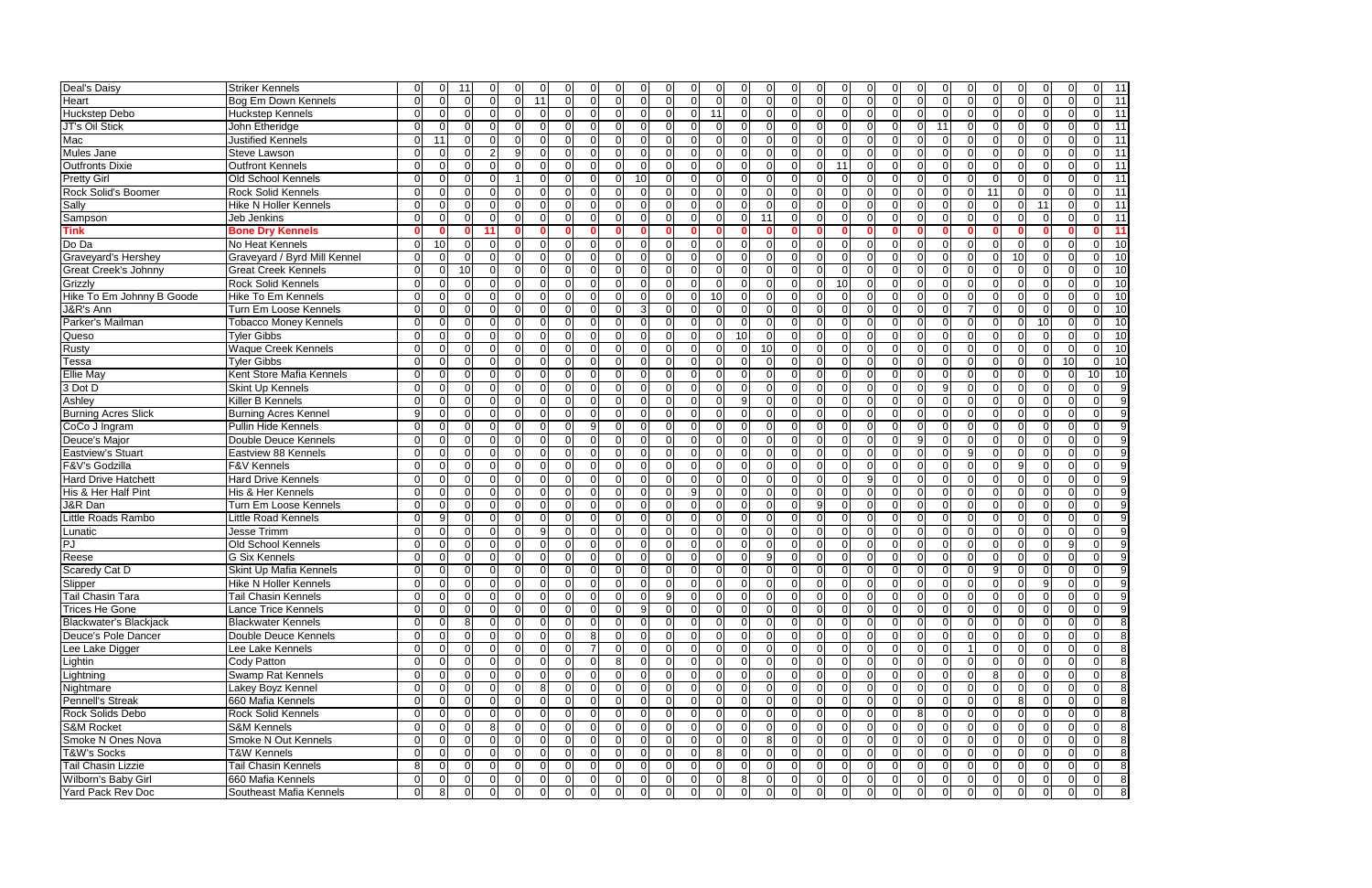| Deal's Daisy                  | Striker Kennels              |              |          | 11              |    | $\Omega$       |              |          | $\Omega$       |          |                |                |                |                |                |                 |                |          |              |    |              |    |              |    |                |              |                |          | $\Omega$       | 0              | 11                       |
|-------------------------------|------------------------------|--------------|----------|-----------------|----|----------------|--------------|----------|----------------|----------|----------------|----------------|----------------|----------------|----------------|-----------------|----------------|----------|--------------|----|--------------|----|--------------|----|----------------|--------------|----------------|----------|----------------|----------------|--------------------------|
| Heart                         | Bog Em Down Kennels          |              |          | $\Omega$        |    | $\Omega$       | U            | 11       | $\Omega$       | $\Omega$ | $\Omega$       |                | $\Omega$       |                | $\Omega$       |                 | $\Omega$       | $\Omega$ | $\Omega$     |    |              |    |              |    | $\Omega$       | $\Omega$     | ΩI             |          | $\Omega$       | ΩI             | $\overline{11}$          |
| <b>Huckstep Debo</b>          | <b>Huckstep Kennels</b>      |              |          | $\Omega$        |    | $\Omega$       |              | $\Omega$ | $\Omega$       | $\Omega$ | $\Omega$       |                | $\Omega$       |                |                |                 | $\Omega$       | ΩI       | ∩            |    |              |    |              |    | $\Omega$       | $\Omega$     | ΩI             | U        | $\Omega$       | ΩI             | 11                       |
| JT's Oil Stick                | John Etheridge               |              |          | $\Omega$        |    | $\Omega$       |              | ∩        | $\Omega$       | $\Omega$ | $\Omega$       |                | $\Omega$       |                | $\Omega$       |                 | $\Omega$       | ∩        | <sup>0</sup> |    |              |    | ∩            | 11 | $\Omega$       | $\Omega$     | $\Omega$       |          | $\Omega$       | ΩI             | 11                       |
| Mac                           | Justified Kennels            |              | 11       | $\Omega$        |    | $\Omega$       |              | ∩        | $\Omega$       | $\Omega$ | 0.             | $\Omega$       | <sup>O</sup>   |                | n              |                 | $\Omega$       | $\Omega$ | <sup>0</sup> |    |              |    |              |    | $\Omega$       | $\Omega$     | 0I             |          | $\Omega$       | ΩI             | $\overline{11}$          |
| <b>Mules Jane</b>             | Steve Lawson                 |              |          |                 |    |                |              | ∩        | $\Omega$       | $\Omega$ | $\Omega$       | $\Omega$       | $\Omega$       |                | $\Omega$       |                 | $\Omega$       | ΩI       | 0            |    |              |    |              |    | $\Omega$       | $\Omega$     | $\Omega$       |          | $\Omega$       | $\Omega$       | $\overline{11}$          |
| <b>Outfronts Dixie</b>        | <b>Outfront Kennels</b>      |              |          |                 |    |                |              |          | $\Omega$       | $\Omega$ | $\Omega$       | <sup>0</sup>   | $\Omega$       |                |                |                 | $\Omega$       | $\Omega$ | 0            | 11 |              |    |              |    |                | $\Omega$     | $\Omega$       |          | $\Omega$       | $\Omega$       | 11                       |
| <b>Pretty Girl</b>            | Old School Kennels           |              |          | $\Omega$        |    | $\Omega$       |              |          | $\Omega$       | $\Omega$ | $\Omega$       | 10             | <sup>0</sup>   |                | $\Omega$       | $\Omega$        | $\overline{0}$ | $\Omega$ | $\Omega$     | U  | $\Omega$     |    | 0            |    | $\Omega$       | $\Omega$     | $\Omega$       |          | $\Omega$       | $\Omega$       | $\overline{11}$          |
| Rock Solid's Boomer           | <b>Rock Solid Kennels</b>    |              |          | $\Omega$        |    | $\Omega$       |              | $\Omega$ | $\Omega$       | $\Omega$ | $\Omega$       | $\Omega$       | $\Omega$       |                | $\Omega$       | ΩI              | $\Omega$       | $\Omega$ | $\Omega$     |    | $\Omega$     |    | 0            |    | $\Omega$       | 11           | $\Omega$       |          | $\Omega$       | $\Omega$       | 11                       |
| Sally                         | <b>Hike N Holler Kennels</b> | 0            | C        | $\Omega$        |    | $\Omega$       | $\Omega$     | $\Omega$ | $\Omega$       | $\Omega$ | $\Omega$       | $\Omega$       | $\overline{0}$ |                | $\Omega$       | ΩI              | $\overline{0}$ | $\Omega$ | $\Omega$     |    | $\Omega$     |    | $\Omega$     |    | $\overline{0}$ | $\Omega$     | $\overline{0}$ | 11       | $\mathbf 0$    | $\Omega$       | $\overline{11}$          |
| Sampson                       | Jeb Jenkins                  | <sup>0</sup> | ∩        | $\Omega$        |    | $\Omega$       | $\Omega$     | $\Omega$ | $\Omega$       | $\Omega$ | $\Omega$       | $\Omega$       | $\Omega$       | ΩI             | $\Omega$       | $\Omega$        | 11             | $\Omega$ | $\Omega$     | ∩  | $\Omega$     |    | $\Omega$     |    | $\Omega$       | $\Omega$     | $\Omega$       | $\Omega$ | $\Omega$       | $\Omega$       | $\overline{11}$          |
| <b>Tink</b>                   | <b>Bone Dry Kennels</b>      | n            |          |                 | 11 |                |              |          | ∩              |          | n              |                | $\Omega$       |                |                |                 | $\Omega$       |          | n            |    |              |    |              |    |                |              | $\Omega$       |          | $\Omega$       | $\Omega$       | 11                       |
| Do Da                         | No Heat Kennels              | O            | 10       | $\Omega$        |    | $\Omega$       | ΩI           | $\Omega$ | $\Omega$       | $\Omega$ | $\Omega$       | $\Omega$       | $\Omega$       | ΩI             | $\Omega$       |                 | $\Omega$       | $\Omega$ | $\Omega$     |    | $\Omega$     |    | $\Omega$     |    | $\Omega$       | $\Omega$     | 0I             | U        | $\Omega$       | ΩI             | 10                       |
| <b>Graveyard's Hershey</b>    | Graveyard / Byrd Mill Kennel |              |          | $\Omega$        |    | $\Omega$       |              |          | $\Omega$       | $\Omega$ | $\Omega$       |                | $\Omega$       |                | $\Omega$       |                 | $\Omega$       |          | $\Omega$     |    |              |    |              |    |                | ΩI           | 10             |          | $\Omega$       | ΩI             | 10                       |
| <b>Great Creek's Johnny</b>   | <b>Great Creek Kennels</b>   |              |          | 10 <sup>1</sup> |    | $\Omega$       |              |          | $\Omega$       | $\Omega$ | $\Omega$       | ∩              | $\Omega$       |                | $\Omega$       |                 | $\Omega$       |          | $\Omega$     |    |              |    |              |    | $\Omega$       | $\Omega$     | 0I             |          | $\Omega$       | ΩI             | 10                       |
| Grizzly                       | <b>Rock Solid Kennels</b>    |              |          | $\Omega$        |    | $\Omega$       |              |          | $\Omega$       | $\Omega$ | $\Omega$       |                | $\Omega$       |                | $\Omega$       | ΩI              | $\Omega$       | $\Omega$ | $\Omega$     | 10 | ∩            |    | ∩            |    | $\Omega$       | $\Omega$     | 0I             |          | $\Omega$       | $\Omega$       | 10                       |
| Hike To Em Johnny B Goode     | Hike To Em Kennels           | n            |          | ∩               |    | $\Omega$       |              | $\Omega$ | $\Omega$       | $\Omega$ | $\Omega$       | ∩              | $\Omega$       |                | 10I            | ΩI              | $\Omega$       | ΩI       | $\Omega$     |    |              |    | ∩            |    | $\Omega$       | $\Omega$     | $\Omega$       |          | $\Omega$       | ΩI             | 10                       |
| J&R's Ann                     | Turn Em Loose Kennels        |              |          | ∩               |    | $\Omega$       |              |          | $\Omega$       | $\Omega$ | <sup>0</sup>   |                | ∩              |                |                |                 | $\Omega$       |          | <sup>0</sup> |    |              |    |              |    |                |              | $\Omega$       |          | $\Omega$       | ΩI             | 10                       |
| Parker's Mailman              | <b>Tobacco Money Kennels</b> |              |          |                 |    | $\Omega$       |              |          | $\Omega$       | $\Omega$ | ∩              |                |                |                |                |                 | $\Omega$       |          |              |    |              |    |              |    |                | ∩            | 0I             | 10I      | $\Omega$       | ΩI             | 10                       |
| Queso                         | <b>Tyler Gibbs</b>           |              |          | $\Omega$        |    | $\Omega$       | <sup>n</sup> | ∩        | $\Omega$       | $\Omega$ | $\Omega$       |                | $\Omega$       |                | $\Omega$       | 10 <sup>1</sup> | $\overline{0}$ | ΩI       | <sup>0</sup> |    |              |    |              |    | $\Omega$       | $\Omega$     | 0I             |          | $\Omega$       | ΩI             | 10                       |
| <b>Rusty</b>                  | <b>Waque Creek Kennels</b>   |              |          | ∩               |    | $\overline{0}$ |              | $\Omega$ | $\Omega$       | $\Omega$ | 0.             | $\Omega$       | $\Omega$       |                | $\Omega$       |                 | 10             |          | <sup>0</sup> |    |              |    |              |    | $\Omega$       | $\Omega$     | $\Omega$       |          | $\Omega$       | $\Omega$       | 10                       |
| Tessa                         | <b>Tyler Gibbs</b>           |              |          |                 |    | $\Omega$       |              |          | $\Omega$       | $\Omega$ | $\Omega$       |                | $\Omega$       |                |                |                 | $\Omega$       |          |              |    |              |    |              |    | $\Omega$       | $\Omega$     | $\Omega$       |          | 10             | ΩI             | 10                       |
| <b>Ellie May</b>              | Kent Store Mafia Kennels     |              |          | $\Omega$        |    | $\Omega$       |              | ∩        | $\Omega$       | $\Omega$ | $\Omega$       |                | $\Omega$       |                | $\Omega$       |                 | $\Omega$       | $\Omega$ | 0            |    |              |    | ∩            |    | $\Omega$       | $\Omega$     | $\Omega$       |          | $\Omega$       | 10             | 10                       |
| 3 Dot D                       |                              |              |          | $\Omega$        |    | $\Omega$       |              |          | $\Omega$       | $\Omega$ | $\Omega$       |                | $\Omega$       |                | $\Omega$       |                 | $\Omega$       | $\Omega$ | $\Omega$     |    |              |    | ∩            |    | $\Omega$       | $\Omega$     | $\Omega$       |          |                | $\Omega$       | 9                        |
| Ashley                        | Skint Up Kennels             |              |          |                 |    |                |              |          |                |          |                |                |                |                | $\Omega$       | a               |                |          |              |    | ∩            |    |              |    |                |              |                |          | $\Omega$       | $\Omega$       |                          |
|                               | <b>Killer B Kennels</b>      |              | C        | 0               |    | $\Omega$       |              |          | $\Omega$       | $\Omega$ | $\Omega$       |                | $\Omega$       |                |                |                 | $\Omega$       | $\Omega$ | $\Omega$     |    |              |    | 0            |    | $\Omega$       | $\Omega$     | $\Omega$       |          |                | ΩI             | 9                        |
| <b>Burning Acres Slick</b>    | <b>Burning Acres Kennel</b>  | 9            |          | <sup>O</sup>    |    | $\Omega$       | U            | $\Omega$ | $\Omega$       | $\Omega$ | $\Omega$       | $\Omega$       | $\Omega$       |                | $\Omega$       | ΩI              | $\overline{0}$ | $\Omega$ | $\Omega$     |    | $\Omega$     |    | $\Omega$     |    | $\Omega$       | $\Omega$     | $\Omega$       |          | $\Omega$       |                | 9                        |
| CoCo J Ingram                 | <b>Pullin Hide Kennels</b>   | U            |          | $\Omega$        |    | $\Omega$       | U            | ∩        | $\Omega$       | q        | $\Omega$       |                | $\Omega$       |                | $\Omega$       | ∩               | $\overline{0}$ | $\Omega$ | $\Omega$     |    | $\Omega$     |    | 0            |    | $\Omega$       | $\Omega$     | $\Omega$       |          | $\Omega$       | $\Omega$       | 9                        |
| Deuce's Major                 | Double Deuce Kennels         | U            | ∩        | $\Omega$        |    | $\Omega$       | $\Omega$     | $\Omega$ | $\Omega$       | $\Omega$ | $\Omega$       | $\Omega$       | $\Omega$       | ΩI             | $\Omega$       | $\Omega$        | $\Omega$       | $\Omega$ | $\Omega$     |    | $\Omega$     |    | 9            |    | $\Omega$       | $\Omega$     | 0I             | $\cap$   | $\Omega$       | $\Omega$       | g                        |
| <b>Eastview's Stuart</b>      | Eastview 88 Kennels          | ∩            |          | $\Omega$        |    | $\Omega$       | U            |          | $\Omega$       | $\Omega$ | $\Omega$       | $\Omega$       | $\Omega$       |                | $\Omega$       |                 | $\Omega$       | $\Omega$ | $\Omega$     |    | $\Omega$     |    | $\Omega$     |    | 9              | $\Omega$     | $\Omega$       |          | $\Omega$       | ΩI             | $\overline{9}$           |
| F&V's Godzilla                | <b>F&amp;V Kennels</b>       | n            | C        | $\Omega$        |    | $\Omega$       | ΩI           | $\Omega$ | $\Omega$       | $\Omega$ | $\Omega$       | $\Omega$       | $\Omega$       |                | $\Omega$       | ∩               | $\Omega$       | $\Omega$ | $\Omega$     |    | $\Omega$     |    | $\Omega$     |    | $\Omega$       | $\Omega$     | -91            | U        | $\Omega$       | $\Omega$       | 9                        |
| <b>Hard Drive Hatchett</b>    | <b>Hard Drive Kennels</b>    |              |          |                 |    | $\Omega$       |              |          | $\Omega$       | $\Omega$ | $\Omega$       |                | $\Omega$       |                | $\Omega$       |                 | $\Omega$       |          | $\Omega$     |    | Q            |    |              |    |                |              | $\Omega$       |          | $\Omega$       | $\Omega$       | 9                        |
| His & Her Half Pint           | His & Her Kennels            |              |          | $\Omega$        |    | $\Omega$       |              |          | $\Omega$       | $\Omega$ | $\Omega$       |                | $\Omega$       |                | $\Omega$       |                 | $\Omega$       |          | ∩            |    |              |    |              |    | $\Omega$       | $\Omega$     | ΩI             |          | $\Omega$       | $\Omega$       | 9                        |
| J&R Dan                       | Turn Em Loose Kennels        |              |          | $\Omega$        |    | $\Omega$       | U            |          | $\Omega$       | $\Omega$ | $\Omega$       | <sup>0</sup>   | $\Omega$       |                | $\Omega$       | ΩI              | $\Omega$       | $\Omega$ | 9            |    |              |    | ∩            |    | $\Omega$       | $\Omega$     | 0I             |          | $\Omega$       | $\Omega$       | 9                        |
| Little Roads Rambo            | Little Road Kennels          |              |          | $\Omega$        |    | $\Omega$       |              |          | $\Omega$       | $\Omega$ | $\Omega$       | ∩              | $\Omega$       |                |                |                 | $\Omega$       | ∩        | $\Omega$     |    |              |    |              |    | $\Omega$       | ∩            | 0I             |          | $\Omega$       | ΩI             | -9                       |
| Lunatic                       | Jesse Trimm                  |              |          | $\Omega$        |    | $\Omega$       |              | Q        | $\Omega$       | $\Omega$ | $\Omega$       |                | $\Omega$       |                | $\Omega$       |                 | $\Omega$       |          | $\Omega$     |    |              |    | ∩            |    | $\Omega$       | ∩            | <sup>O</sup>   |          | $\Omega$       | $\Omega$       | 9                        |
| PJ                            | Old School Kennels           |              |          | $\Omega$        |    | $\Omega$       |              |          | $\Omega$       | $\Omega$ | $\Omega$       |                | $\Omega$       |                |                |                 | $\Omega$       | ∩        | ∩            |    |              |    |              |    | $\Omega$       | ∩            | 0I             |          | 9              | $\Omega$       | 9                        |
| Reese                         | <b>G Six Kennels</b>         |              |          | 0               |    | $\Omega$       |              | $\Omega$ | $\Omega$       | $\Omega$ | $\Omega$       | $\Omega$       | $\overline{0}$ |                | $\Omega$       |                 | 9              | $\Omega$ | $\Omega$     |    | ∩            |    |              |    | $\Omega$       | $\Omega$     | 0I             | ∩        | $\Omega$       | $\Omega$       | g                        |
| Scaredy Cat D                 | Skint Up Mafia Kennels       |              |          |                 |    | $\Omega$       |              | $\Omega$ | $\Omega$       | - OI     | $\overline{0}$ | 0.             | <sup>0</sup>   |                | 0              |                 | $\Omega$       |          | $\Omega$     |    | $\Omega$     |    |              |    | $\Omega$       | $\mathbf{Q}$ | $\Omega$       | $\Omega$ | $\Omega$       | $\Omega$       | $\overline{9}$           |
| Slipper                       | Hike N Holler Kennels        |              |          | υ               |    | υL             | υ            | U        | $\overline{0}$ | υı       | υı             | υı             | $\overline{0}$ |                | υı<br>υı       | υı              | υ              | υı       | υı           | υı | υı           | υı | υ            | υı | $\overline{0}$ | 0            | $\overline{0}$ | 9        | $\overline{0}$ | $\overline{0}$ | 9                        |
| Tail Chasin Tara              | <b>Tail Chasin Kennels</b>   | 0            | $\Omega$ | $\Omega$        |    | 0I             | $\Omega$     | $\Omega$ | -01            | -01      | $\overline{0}$ | $\overline{0}$ | 9              | $\overline{0}$ | $\overline{0}$ | $\overline{0}$  | - 0 I          | 0I       | ΟI           |    | $\Omega$     |    | .OI          |    | $\Omega$       | $\Omega$     | $\overline{0}$ |          | $\Omega$       | $\Omega$       | 9                        |
| <b>Trices He Gone</b>         | Lance Trice Kennels          |              |          | $\Omega$        |    | $\Omega$       |              | $\Omega$ | $\Omega$       | $\Omega$ | $\overline{0}$ |                | $\overline{0}$ |                | $\overline{0}$ | $\Omega$        | $\overline{0}$ | $\Omega$ | $\Omega$     |    | $\Omega$     |    | $\Omega$     |    | $\Omega$       | $\Omega$     | $\Omega$       |          | $\Omega$       | $\Omega$       | $\overline{9}$           |
| <b>Blackwater's Blackjack</b> | <b>Blackwater Kennels</b>    |              | $\Omega$ | -81             |    | <sup>0</sup>   | U            | ΩI       | $\Omega$       | $\Omega$ | $\Omega$       | 0.             | <sup>0</sup>   |                | $\Omega$       | $\Omega$        | $\overline{0}$ | $\Omega$ | $\Omega$     |    | $\Omega$     |    | $\Omega$     |    | $\Omega$       | $\Omega$     | $\Omega$       |          | $\Omega$       | $\Omega$       | $\overline{\phantom{a}}$ |
| Deuce's Pole Dancer           | Double Deuce Kennels         |              |          | $\Omega$        |    | $\Omega$       |              |          | $\Omega$       |          |                |                | $\Omega$       |                |                | ΩI              | $\overline{0}$ | ΩI       | $\Omega$     |    | $\Omega$     |    |              |    | $\Omega$       |              | $\Omega$       |          | $\Omega$       | $\Omega$       | $\overline{\phantom{a}}$ |
| Lee Lake Digger               | Lee Lake Kennels             |              | $\Omega$ | $\Omega$        |    | $\Omega$       | U            | $\Omega$ | $\Omega$       |          | $\Omega$       | ∩              | $\overline{0}$ |                | $\Omega$       | ΩI              | $\overline{0}$ | ΩI       | $\Omega$     |    | $\Omega$     |    | $\Omega$     |    |                | $\Omega$     | $\Omega$       |          | $\Omega$       | $\Omega$       | 8 <sup>8</sup>           |
| Lightin                       | Cody Patton                  | $\Omega$     | $\Omega$ | $\Omega$        |    | 0 <sup>1</sup> | $\Omega$     | $\Omega$ | $\Omega$       | $\Omega$ | 8 <sup>1</sup> | $\Omega$       | $\overline{0}$ |                | $\Omega$       | $\Omega$        | $\overline{0}$ | ΩI       | $\Omega$     |    | $\Omega$     |    | $\Omega$     |    | $\Omega$       | $\Omega$     | $\Omega$       | $\cap$   | $\Omega$       | $\Omega$       | 8 <sup>8</sup>           |
| Lightning                     | Swamp Rat Kennels            | U            | C        | $\Omega$        |    | $\Omega$       | ∩            | $\Omega$ | $\Omega$       | $\Omega$ | $\Omega$       | $\Omega$       | $\overline{0}$ |                | $\Omega$       | $\Omega$        | $\overline{0}$ | $\Omega$ | $\Omega$     |    | $\Omega$     |    | $\Omega$     |    | $\Omega$       | 8            | 0I             |          | $\Omega$       | $\Omega$       | 8                        |
| Nightmare                     | Lakey Boyz Kennel            | <sup>n</sup> | ∩        | 0               |    | $\Omega$       | ΩI           |          | $\Omega$       | $\Omega$ | $\Omega$       | $\Omega$       | <sup>0</sup>   |                | $\Omega$       | ΩI              | $\Omega$       | ΩI       | $\Omega$     |    | $\Omega$     |    | $\Omega$     |    | $\Omega$       | $\Omega$     | 0I             | ∩        | $\Omega$       | $\Omega$       | $\infty$                 |
| Pennell's Streak              | 660 Mafia Kennels            |              |          | 0               |    | $\Omega$       | U            |          | $\Omega$       | $\Omega$ | $\Omega$       |                | $\Omega$       |                | $\Omega$       | ΩI              | $\overline{0}$ | $\Omega$ | $\Omega$     |    | <sup>0</sup> |    | <sup>0</sup> |    | $\Omega$       |              | 8              |          | $\Omega$       | $\Omega$       | 8 <sup>8</sup>           |
| Rock Solids Debo              | Rock Solid Kennels           |              |          | $\Omega$        |    | $\Omega$       |              |          | $\Omega$       | $\Omega$ | $\Omega$       |                | $\Omega$       |                |                |                 | $\Omega$       |          | $\Omega$     |    |              |    |              |    | $\Omega$       |              | 0I             |          | $\Omega$       | $\Omega$       | 8                        |
| <b>S&amp;M Rocket</b>         | <b>S&amp;M Kennels</b>       |              |          | <sup>O</sup>    |    | 81             | ΩI           | ΩI       | $\Omega$       | $\Omega$ | ΟI             | 0.             | <sup>0</sup>   |                | $\Omega$       | $\Omega$        | $\overline{0}$ | $\Omega$ | $\Omega$     |    | $\Omega$     |    | 0            |    | $\Omega$       | $\Omega$     | <sup>O</sup>   | ΩI       | $\Omega$       | $\Omega$       | 8 <sup>8</sup>           |
| Smoke N Ones Nova             | Smoke N Out Kennels          |              |          | 0               |    | $\Omega$       |              | ΩI       | $\Omega$       | $\Omega$ | 0              |                | <sup>O</sup>   |                |                | ΩI              | 8              | ΩI       | 0.           |    | <sup>0</sup> |    |              |    | $\Omega$       | $\Omega$     | $\Omega$       |          | $\Omega$       | $\Omega$       | 8                        |
| <b>T&amp;W's Socks</b>        | T&W Kennels                  |              |          | <sup>O</sup>    |    | <sup>0</sup>   | <sup>n</sup> | $\Omega$ | $\Omega$       | - OI     | 0              | 0.             | <sup>O</sup>   |                | 81             | $\Omega$        | 0 I            | $\Omega$ | <sup>O</sup> |    | <sup>0</sup> |    | 0            |    | $\Omega$       | $\Omega$     | <sup>O</sup>   | ΩI       | $\Omega$       | $\Omega$       | 8 <sup>8</sup>           |
| <b>Tail Chasin Lizzie</b>     | Tail Chasin Kennels          | 8            |          | <sup>O</sup>    |    | <sup>0</sup>   |              | ΩI       | $\Omega$       | - OI     | 0              |                | <sup>O</sup>   |                |                | ΩI              | $\overline{0}$ |          | 0            |    |              |    |              |    | $\Omega$       |              | $\Omega$       |          | $\Omega$       | $\Omega$       | $\infty$                 |
| Wilborn's Baby Girl           | 660 Mafia Kennels            | ΩI           | $\Omega$ | <sup>0</sup>    |    | 0I             | 0I           | - OI     | $\overline{0}$ | $\Omega$ | 0              | 0.             | $\overline{0}$ |                | $\overline{0}$ | 81              | $\overline{0}$ | $\Omega$ | 0 I          |    | $\Omega$     |    | 0            |    | $\overline{0}$ | 0 I          | <sup>O</sup>   | ΩI       | $\Omega$       | 0I             | $^{\circ}$ 8             |
| Yard Pack Rev Doc             | Southeast Mafia Kennels      |              | -8       | <sup>O</sup>    |    | $\Omega$       | <sup>0</sup> | 0I       | $\Omega$       | $\Omega$ | $\Omega$       | 0.             | $\overline{0}$ |                | $\overline{0}$ | ΟI              | $\overline{0}$ | $\Omega$ | $\Omega$     |    | <sup>0</sup> |    | <sup>0</sup> |    | $\Omega$       | $\Omega$     | $\Omega$       | ΟI       | $\Omega$       | $\overline{0}$ | $^{\circ}$ 8             |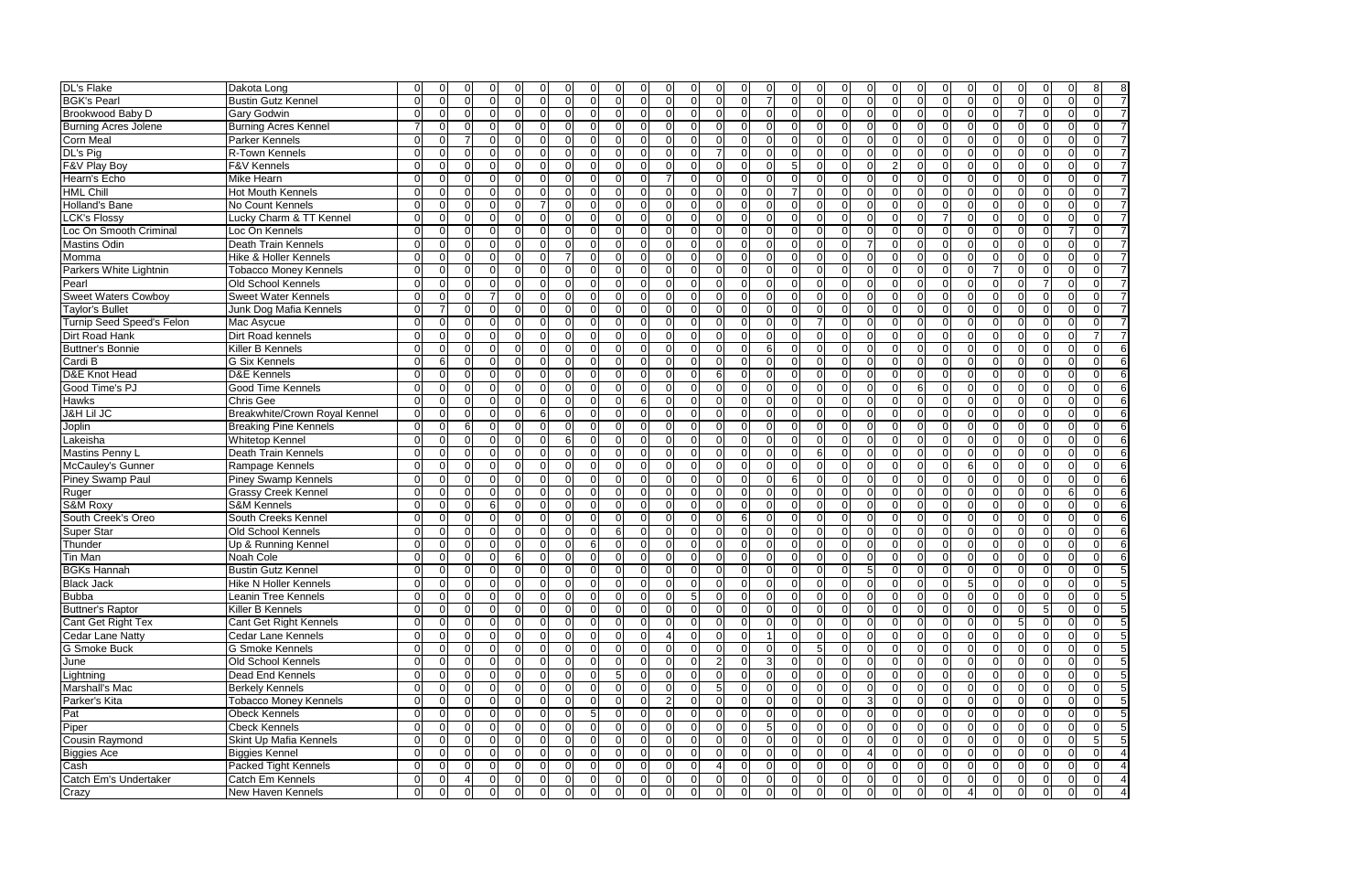| <b>DL's Flake</b>                | Dakota Long                      |          |          |                |          |                |              |          |                |                | 0              |                      | 0              |                      |                              |                   |                |                |          |                |                |                      |    |               |          |                                                  |
|----------------------------------|----------------------------------|----------|----------|----------------|----------|----------------|--------------|----------|----------------|----------------|----------------|----------------------|----------------|----------------------|------------------------------|-------------------|----------------|----------------|----------|----------------|----------------|----------------------|----|---------------|----------|--------------------------------------------------|
| <b>BGK's Pearl</b>               | <b>Bustin Gutz Kennel</b>        | ∩        |          | <sup>0</sup>   |          | $\Omega$       |              |          | $\Omega$       | $\Omega$       | $\Omega$       | $\Omega$             | $\Omega$       | $\Omega$             |                              |                   | $\Omega$       | $\Omega$       |          | $\Omega$       | $\Omega$       | $\Omega$             |    |               |          | ∩<br>$\Omega$                                    |
| Brookwood Baby D                 | <b>Gary Godwin</b>               | n        |          |                |          | ∩              |              |          | $\Omega$       | $\Omega$       | $\Omega$       | $\Omega$             | $\Omega$       | $\Omega$             | $\Omega$                     | $\Omega$          | $\Omega$       | $\Omega$       |          | $\Omega$       | ∩              | $\Omega$             |    |               |          | $\Omega$<br>$\Omega$                             |
| <b>Burning Acres Jolene</b>      | <b>Burning Acres Kennel</b>      |          |          |                |          |                |              |          | $\Omega$       | $\Omega$       | $\Omega$       | ∩                    | $\Omega$       | $\Omega$             | $\Omega$                     | $\Omega$          | $\Omega$       | $\Omega$       |          | $\Omega$       |                | $\Omega$             |    |               |          | $\Omega$<br>$\Omega$                             |
| <b>Corn Meal</b>                 | <b>Parker Kennels</b>            |          |          |                |          | $\Omega$       |              | C        | $\Omega$       | $\Omega$       | $\Omega$       | $\Omega$             | $\Omega$       | $\Omega$             | $\Omega$                     | $\Omega$          | $\overline{0}$ | $\overline{0}$ |          | $\Omega$       | <sup>0</sup>   | $\Omega$             |    |               |          | $\Omega$<br>$\Omega$                             |
| DL's Pig                         | R-Town Kennels                   |          |          |                |          |                |              |          | $\Omega$       | $\Omega$       | $\Omega$       | $\Omega$             | $\Omega$       | $\Omega$             |                              | $\Omega$          | $\Omega$       | $\overline{0}$ |          | $\overline{0}$ |                | 0                    |    |               |          | $\Omega$<br>U                                    |
| F&V Play Boy                     | F&V Kennels                      |          |          |                |          |                |              |          | $\Omega$       | $\Omega$       | $\Omega$       | $\Omega$             | $\Omega$       | $\Omega$             |                              | $\Omega$          | 5 <sub>l</sub> | $\overline{0}$ |          | $\Omega$       |                | $\Omega$             |    |               |          |                                                  |
| Hearn's Echo                     | <b>Mike Hearn</b>                | O        |          | 0              |          | $\Omega$       |              |          | $\Omega$       | $\Omega$       | $\Omega$       | $\Omega$             |                | $\Omega$             | $\Omega$                     | $\Omega$          | 0I             | $\overline{0}$ |          | $\overline{0}$ | $\Omega$       | $\Omega$             |    |               |          | $\Omega$<br>$\Omega$                             |
| <b>HML Chill</b>                 | <b>Hot Mouth Kennels</b>         | U        | ſ        | $\Omega$       |          | ∩              |              |          | $\Omega$       | ΩI             | $\Omega$       | $\Omega$             | $\Omega$       | $\Omega$             | <sup>0</sup>                 | $\Omega$          |                | $\overline{0}$ |          | $\mathbf 0$    | $\Omega$       | $\Omega$             |    | $\Omega$      |          | $\Omega$<br>ΩI                                   |
| <b>Holland's Bane</b>            | No Count Kennels                 | $\Omega$ | n        | $\Omega$       |          | $\Omega$       | <sup>n</sup> |          | $\Omega$       | ΟI             | $\Omega$       | $\Omega$             | $\mathbf 0$    | $\Omega$             | $\Omega$                     | $\mathbf 0$       | <sup>0</sup>   | $\overline{0}$ |          | $\mathbf 0$    | $\Omega$       | $\Omega$             |    | 0             | $\Omega$ | $\Omega$<br>$\Omega$                             |
| <b>LCK's Flossy</b>              | Lucky Charm & TT Kennel          | $\Omega$ | ∩        | $\Omega$       |          | 0.             |              | $\Omega$ | $\Omega$       | ΩI             | $\Omega$       | $\Omega$             | $\Omega$       | $\Omega$             | $\Omega$                     | $\Omega$          | $\Omega$       | $\Omega$       |          | $\Omega$       | $\Omega$       | $\Omega$             |    | $\Omega$      | $\Omega$ | $\Omega$<br>$\Omega$                             |
| Loc On Smooth Criminal           | Loc On Kennels                   | $\Omega$ | ∩        | $\Omega$       |          | 0.             | U            | $\Omega$ | $\Omega$       | $\Omega$       | $\Omega$       | $\Omega$             | $\Omega$       | $\Omega$             | $\Omega$                     | $\Omega$          | $\overline{O}$ | $\overline{0}$ | ΩI       | $\overline{0}$ | $\Omega$       | $\Omega$             |    | $\Omega$      | $\Omega$ | 7<br>$\Omega$                                    |
| <b>Mastins Odin</b>              | Death Train Kennels              | ΩI       |          | <sup>0</sup>   |          | ∩              |              |          | $\Omega$       | $\Omega$       | $\Omega$       | $\Omega$             | $\Omega$       | $\Omega$             | $\Omega$                     | $\Omega$          | $\Omega$       | $\overline{0}$ |          |                |                | $\Omega$             |    |               | ∩        | $\Omega$<br>U                                    |
| Momma                            | <b>Hike &amp; Holler Kennels</b> | ΩI       |          |                |          | ∩              |              |          |                | $\Omega$       | $\Omega$       | $\Omega$             | $\Omega$       | $\Omega$             | $\Omega$                     | $\Omega$          | $\Omega$       | $\overline{0}$ |          | $\Omega$       |                | $\Omega$             |    |               | ∩        | $\Omega$                                         |
| Parkers White Lightnin           | <b>Tobacco Money Kennels</b>     |          |          |                |          |                |              |          | $\Omega$       | $\Omega$       | $\Omega$       | $\Omega$             | $\Omega$       | $\Omega$             | <sup>0</sup>                 | $\Omega$          | $\Omega$       | $\Omega$       |          | $\Omega$       |                | $\Omega$             |    |               |          | U<br>$\Omega$                                    |
| Pearl                            | <b>Old School Kennels</b>        | ΩI       |          |                |          |                |              |          | $\Omega$       | $\Omega$       | $\Omega$       | $\Omega$             | $\Omega$       | $\Omega$             | <sup>0</sup>                 | $\Omega$          | $\Omega$       | $\Omega$       |          | $\Omega$       | U              | $\Omega$             |    |               | ∩        | $\Omega$<br>$\Omega$                             |
|                                  | <b>Sweet Water Kennels</b>       | U        |          |                |          |                |              |          | $\Omega$       | $\Omega$       | $\Omega$       | $\Omega$             | $\Omega$       | $\Omega$             | $\Omega$                     | $\Omega$          | $\Omega$       | $\Omega$       |          | $\Omega$       |                | $\Omega$             |    |               |          | $\Omega$<br>∩                                    |
| <b>Sweet Waters Cowboy</b>       |                                  | ∩        |          |                |          |                |              |          |                | $\Omega$       | $\Omega$       | $\Omega$             | <sup>0</sup>   | ∩                    |                              | $\Omega$          | $\Omega$       | $\Omega$       |          | $\Omega$       |                | <sup>0</sup>         |    |               |          | ∩                                                |
| <b>Taylor's Bullet</b>           | Junk Dog Mafia Kennels           |          |          |                |          |                |              |          | $\Omega$       |                |                |                      |                |                      |                              |                   |                |                |          |                |                |                      |    |               |          |                                                  |
| <b>Turnip Seed Speed's Felon</b> | Mac Asycue                       | ΩI<br>ΩI |          |                |          | $\Omega$<br>∩  |              |          | $\Omega$       | ΩI             | $\Omega$       | $\Omega$<br>$\Omega$ | $\Omega$       | $\Omega$<br>$\Omega$ | <sup>0</sup><br><sup>0</sup> | $\Omega$          | $\Omega$       |                |          | $\Omega$       |                | $\Omega$<br>$\Omega$ |    |               |          | ∩<br>∩∣                                          |
| <b>Dirt Road Hank</b>            | Dirt Road kennels                |          |          |                |          |                |              |          | $\Omega$       | $\Omega$       | $\Omega$       |                      | $\Omega$       |                      |                              | $\Omega$          | $\Omega$       | $\Omega$       |          | $\Omega$       |                |                      |    |               |          |                                                  |
| <b>Buttner's Bonnie</b>          | Killer B Kennels                 | n        |          |                |          | 0.             |              |          | $\Omega$       | $\Omega$       | $\Omega$       | $\Omega$             | $\Omega$       | $\Omega$             | $\Omega$                     | 6                 | $\Omega$       | $\Omega$       |          | $\Omega$       | ∩              | $\Omega$             |    |               |          | $\Omega$<br>$\Omega$                             |
| Cardi B                          | <b>G Six Kennels</b>             |          | 6        |                |          | ∩              |              |          | $\Omega$       | $\Omega$       | $\Omega$       | $\Omega$             | $\Omega$       | $\Omega$             | $\Omega$                     | $\Omega$          | $\Omega$       | $\mathbf 0$    |          | $\Omega$       |                | $\Omega$             |    |               |          |                                                  |
| D&E Knot Head                    | D&E Kennels                      |          |          |                |          | ∩              |              |          | $\Omega$       | $\Omega$       | $\Omega$       | $\Omega$             | $\Omega$       | $\Omega$             | 6                            | $\Omega$          | $\overline{O}$ | $\overline{0}$ |          | $\Omega$       |                | $\Omega$             |    |               |          | $\Omega$<br>ΩI                                   |
| Good Time's PJ                   | <b>Good Time Kennels</b>         | $\Omega$ |          |                |          | $\Omega$       |              |          | $\Omega$       | $\Omega$       | $\Omega$       | ∩                    | $\Omega$       | $\Omega$             | $\Omega$                     | $\Omega$          | $\Omega$       | $\Omega$       |          | $\Omega$       |                | 6                    |    |               |          | $\Omega$                                         |
| <b>Hawks</b>                     | <b>Chris Gee</b>                 | O        |          |                |          |                |              |          | $\Omega$       | $\Omega$       | $\Omega$       | 6                    | $\Omega$       | $\Omega$             | $\Omega$                     | $\Omega$          | 0I             | $\overline{0}$ |          | $\mathbf 0$    | O              | $\Omega$             |    |               |          | $\Omega$<br>$\Omega$                             |
| <b>J&amp;H Lil JC</b>            | Breakwhite/Crown Royal Kennel    | $\Omega$ | $\Omega$ | $\Omega$       |          | 0.             | U            | -6       | $\Omega$       | $\Omega$       | $\Omega$       | $\Omega$             | $\Omega$       | $\Omega$             | $\Omega$                     | 0                 | ΟI             | $\overline{0}$ | $\Omega$ | $\mathbf 0$    | $\Omega$       | $\Omega$             |    | $\Omega$      | ∩<br>∩   | $\Omega$<br>$\Omega$<br>6                        |
| Joplin                           | <b>Breaking Pine Kennels</b>     | $\Omega$ |          | 6              |          | $\Omega$       | U            | ∩        | $\Omega$       | $\Omega$       | $\Omega$       | $\Omega$             | $\Omega$       | $\Omega$             | $\Omega$                     | $\Omega$          | $\Omega$       | $\overline{0}$ |          | $\Omega$       | $\Omega$       | $\Omega$             |    |               | ∩        | $\Omega$<br>6<br>U                               |
| Lakeisha                         | <b>Whitetop Kennel</b>           | ΩI       | ∩        | <sup>0</sup>   |          | $\Omega$       |              | ∩        | 6              | $\Omega$       | $\Omega$       | $\Omega$             | $\Omega$       | $\Omega$             | $\Omega$                     | $\Omega$          | $\Omega$       | $\Omega$       |          | $\Omega$       | $\Omega$       | $\Omega$             |    |               | ∩        | $\Omega$<br>6<br>$\Omega$                        |
| <b>Mastins Penny L</b>           | <b>Death Train Kennels</b>       | ΩI       |          | 0              |          | $\Omega$       | U            | ∩        | $\Omega$       | $\Omega$       | $\Omega$       | $\Omega$             | $\Omega$       | $\Omega$             | $\Omega$                     | $\Omega$          | $\Omega$       | $6 \mid$       |          | $\Omega$       | ∩              | $\Omega$             |    | ∩             | $\Omega$ | 6<br>$\Omega$<br>U                               |
| McCauley's Gunner                | Rampage Kennels                  | ΩI       |          | <sup>0</sup>   |          | ∩              | n            | £        | $\Omega$       | $\Omega$       | $\Omega$       | $\Omega$             | $\Omega$       | $\Omega$             | $\Omega$                     | $\Omega$          | $\Omega$       | $\overline{0}$ |          | $\Omega$       |                | $\Omega$             |    | 6             | $\Omega$ | 6<br>$\Omega$<br>$\Omega$                        |
| <b>Piney Swamp Paul</b>          | <b>Piney Swamp Kennels</b>       | ΩI       |          |                |          |                |              |          | $\Omega$       | $\Omega$       | $\Omega$       | $\Omega$             | $\Omega$       | $\Omega$             | $\Omega$                     | $\Omega$          | 6              | $\overline{0}$ |          | $\Omega$       |                | $\Omega$             |    |               | ∩        | 6<br>ി                                           |
| Ruger                            | <b>Grassy Creek Kennel</b>       |          |          |                |          | $\Omega$       |              |          | $\Omega$       | $\Omega$       | $\Omega$       | $\Omega$             | $\Omega$       | $\Omega$             | $\Omega$                     | $\Omega$          | $\Omega$       | $\Omega$       |          | $\Omega$       |                | $\Omega$             |    |               |          | $6 \mid$<br>6<br>$\Omega$                        |
| <b>S&amp;M Roxy</b>              | <b>S&amp;M Kennels</b>           | U        |          |                |          | 6              |              |          | $\Omega$       | $\Omega$       | $\Omega$       | $\Omega$             | $\Omega$       | $\Omega$             | $\Omega$                     | $\Omega$          | ΟI             | 0I             |          | $\Omega$       | $\Omega$       | $\Omega$             |    |               | ∩        | $6 \mid$<br>$\Omega$<br>ΩI                       |
| South Creek's Oreo               | South Creeks Kennel              | n        |          |                |          | ∩              |              |          | $\Omega$       | $\Omega$       | $\Omega$       | $\Omega$             | $\Omega$       | $\Omega$             | <sup>0</sup>                 | $\Omega$          | $\Omega$       | $\Omega$       |          | $\Omega$       | ∩              | $\Omega$             |    |               |          | $\Omega$<br>6<br>$\Omega$                        |
| <b>Super Star</b>                | <b>Old School Kennels</b>        | n        |          | 0              |          | ∩              |              |          | $\Omega$       | $\Omega$       | <sup>6</sup>   | $\Omega$             | $\Omega$       | $\Omega$             | <sup>0</sup>                 | $\Omega$          | $\Omega$       | $\Omega$       |          | $\Omega$       | ∩              | $\Omega$             |    |               |          | 6<br>$\Omega$<br>$\Omega$                        |
| Thunder                          | Up & Running Kennel              | U        |          |                |          | ∩              |              |          | $\Omega$       | 6              | $\Omega$       | $\Omega$             | $\Omega$       | $\Omega$             | $\Omega$                     | $\Omega$          | $\Omega$       | $\Omega$       |          | $\Omega$       | ∩              | $\Omega$             |    |               |          | $\Omega$<br>$\Omega$                             |
| <b>Tin Man</b>                   | Noah Cole                        | $\Omega$ |          | <sup>0</sup>   |          | $\Omega$       | 6            |          | $\Omega$       | $\Omega$       | $\Omega$       | $\Omega$             | $\Omega$       | $\Omega$             | $\Omega$                     | 0                 | ΟI             | $\overline{0}$ |          | $\overline{0}$ | $\Omega$       | $\Omega$             |    |               |          | <sup>6</sup><br>$\Omega$<br>ΩI                   |
| <b>BGKs Hannah</b>               | <b>Bustin Gutz Kennel</b>        |          |          |                |          | 0.             |              | $\Omega$ | $\Omega$       | $\Omega$       | $\overline{0}$ | - OI                 | $\Omega$       | - OI                 | <sup>0</sup>                 | <sup>O</sup>      | $\Omega$       | $\overline{0}$ |          | 5              |                | $\Omega$             |    |               |          | $\Omega$<br>$\Omega$                             |
| <b>Black Jack</b>                | Hike N Holler Kennels            | υı       | υı       | <b>U</b>       |          | υı             | υı           | <b>U</b> | υ              | 0              | 0              | $\overline{0}$       | $\overline{0}$ | υ                    | υı                           | υı<br>υ           | υ              | υ              | υı       | $\overline{0}$ | υ              | υ                    | υı | $\mathcal{D}$ | υı       | 0 <br><b>U</b><br>ьl                             |
| <b>Bubba</b>                     | Leanin Tree Kennels              | $\Omega$ | $\Omega$ | $\overline{0}$ |          | $\overline{0}$ | 0            | 0        | $\overline{0}$ | $\overline{0}$ | $\overline{0}$ | $\Omega$             | $\overline{0}$ | 5 <sup>1</sup>       | 0I                           | $\overline{0}$    | 0              | 0              | $\Omega$ | $\overline{0}$ | $\overline{0}$ | $\overline{0}$       |    | 0             |          | 5<br>$\overline{0}$<br>$\Omega$                  |
| Buttner's Raptor                 | Killer B Kennels                 | 0        | $\Omega$ | $\Omega$       |          | 0.             |              |          | $\Omega$       | $\Omega$       | $\Omega$       | $\Omega$             | $\overline{0}$ | $\Omega$             | $\Omega$                     | $\overline{0}$    | 0              | 0              | $\Omega$ | $\overline{0}$ | 0I             | $\overline{0}$       |    | $\mathbf{0}$  | $\Omega$ | 5<br>0I<br>$\Omega$                              |
| Cant Get Right Tex               | Cant Get Right Kennels           | ΩI       | $\Omega$ | $\Omega$       |          | 0.             |              | $\Omega$ | $\Omega$       | $\overline{0}$ | $\Omega$       | $\Omega$             | $\Omega$       | $\Omega$             | $\Omega$                     | $\overline{0}$    | $\overline{0}$ | 0              |          | $\overline{0}$ | $\Omega$       | $\overline{0}$       |    | $\Omega$      | 5        | 5 <sup>1</sup><br>$\Omega$<br>0I                 |
| <b>Cedar Lane Natty</b>          | Cedar Lane Kennels               | ΩI       | $\Omega$ | $\Omega$       |          | $\Omega$       |              |          | $\Omega$       | ΩI             | $\Omega$       | $\Omega$             |                | $\Omega$             |                              |                   | $\overline{O}$ | $\overline{0}$ |          | $\overline{0}$ |                | $\Omega$             |    |               |          | 5 <sup>1</sup><br>$\Omega$<br>ΟI                 |
| G Smoke Buck                     | <b>G Smoke Kennels</b>           | $\Omega$ | $\Omega$ | $\Omega$       |          | $\Omega$       |              | $\Omega$ | $\Omega$       | $\Omega$       | $\Omega$       | $\Omega$             | $\Omega$       | $\Omega$             | $\Omega$                     | $\Omega$          | $\overline{O}$ | 5 <sub>l</sub> |          | $\overline{0}$ | $\Omega$       | $\Omega$             |    | $\Omega$      | $\Omega$ | 5 <sub>l</sub><br>$\Omega$<br>$\Omega$           |
| June                             | Old School Kennels               | $\Omega$ | $\Omega$ | $\Omega$       |          | $\Omega$       | $\Omega$     | $\Omega$ | $\Omega$       | $\Omega$       | $\Omega$       | $\Omega$             | $\Omega$       | $\Omega$             | $\mathcal{P}$                | $\lceil 3 \rceil$ | $\overline{O}$ | $\overline{0}$ |          | $\overline{0}$ | $\Omega$       | $\Omega$             |    | $\Omega$      | $\Omega$ | 5 <sup>1</sup><br>$\Omega$<br>$\Omega$           |
| Lightning                        | Dead End Kennels                 | $\Omega$ | $\Omega$ | $\Omega$       |          | $\Omega$       | ∩            |          | $\Omega$       | $\Omega$       | 5 <sub>l</sub> | $\Omega$             | $\Omega$       | $\Omega$             | $\Omega$                     | $\overline{0}$    | 0I             | $\overline{0}$ |          | $\overline{0}$ |                | $\Omega$             |    |               | $\Omega$ | 5 <sub>l</sub><br>$\Omega$<br>$\Omega$           |
| Marshall's Mac                   | <b>Berkely Kennels</b>           | $\Omega$ | $\Omega$ | <sup>O</sup>   |          | 0.             | <sup>n</sup> | $\Omega$ | $\Omega$       | $\Omega$       | $\Omega$       | $\Omega$             | $\Omega$       | $\Omega$             | 5 <sup>1</sup>               | 0                 | 0I             | $\overline{0}$ |          | $\overline{0}$ | $\Omega$       | $\Omega$             |    | ∩             | $\Omega$ | 5 <sup>1</sup><br>$\Omega$<br>$\Omega$           |
| Parker's Kita                    | <b>Tobacco Money Kennels</b>     | ΩI       |          |                | 0        |                |              |          | $\Omega$       | $\Omega$       | ΟI             | $\Omega$             | 2              | $\Omega$             | $\Omega$                     | $\Omega$          | 0I             | $\overline{0}$ |          | $\mathbf{3}$   |                | $\Omega$             |    |               | ∩        | 5 <sub>l</sub><br>ΟI<br>$\Omega$                 |
| Pat                              | <b>Obeck Kennels</b>             | ΩI       |          |                | $\Omega$ | $\Omega$       |              |          | $\Omega$       | 5 <sub>l</sub> | $\Omega$       | $\Omega$             | $\Omega$       | $\Omega$             | $\Omega$                     | $\Omega$          | 0I             | $\overline{0}$ |          | $\overline{0}$ | $\Omega$       | ΩI                   |    |               | ∩        | 5 <sup>1</sup><br>$\Omega$<br>ΟI                 |
| Piper                            | <b>Cbeck Kennels</b>             | 0        |          | 0              |          | $\Omega$       |              |          | $\Omega$       | ΟI             | 0I             | $\Omega$             | $\overline{0}$ | $\Omega$             | $\Omega$                     | 5 <sup>1</sup>    | $\overline{0}$ | $\overline{0}$ |          | $\overline{0}$ | ΟI             | $\Omega$             |    |               | $\Omega$ | 5 <sub>l</sub><br>$\Omega$<br>0I                 |
| Cousin Raymond                   | Skint Up Mafia Kennels           | ΩI       |          | <sup>O</sup>   |          | 0.             |              |          | $\Omega$       | $\overline{0}$ | $\Omega$       | $\Omega$             | $\Omega$       | $\Omega$             | $\Omega$                     | 0                 | <sup>0</sup>   | $\overline{0}$ |          | $\overline{0}$ | $\Omega$       | $\Omega$             |    | ∩             | $\Omega$ | 5 <sub>l</sub><br>5 <sup>1</sup><br>$\Omega$     |
| <b>Biggies Ace</b>               | <b>Biggies Kennel</b>            | ΩI       |          | <sup>O</sup>   |          | $\Omega$       |              |          | $\Omega$       | $\overline{0}$ | ΩI             | $\Omega$             | <sup>O</sup>   | 0I                   | $\Omega$                     | $\Omega$          | ΟI             | $\overline{0}$ |          | $\overline{4}$ | $\Omega$       | $\Omega$             |    |               | ∩        | $\overline{0}$<br>$\overline{a}$<br><sup>O</sup> |
| Cash                             | <b>Packed Tight Kennels</b>      | ΩI       |          |                |          | <sup>O</sup>   |              |          | $\Omega$       | $\overline{0}$ | $\Omega$       | $\Omega$             | <sup>O</sup>   | 0I                   |                              | $\Omega$          | ΟI             | $\overline{0}$ |          | $\overline{0}$ |                | $\Omega$             |    |               |          | $\Omega$<br>$\overline{0}$                       |
| Catch Em's Undertaker            | Catch Em Kennels                 | ΩI       |          | 4              |          | <sup>O</sup>   |              | $\Omega$ | 0I             | $\overline{0}$ | $\Omega$       | $\Omega$             | $\overline{0}$ | $\Omega$             | $\Omega$                     | $\overline{0}$    | $\overline{0}$ | $\overline{0}$ | ΩI       | $\overline{0}$ | 01             | $\overline{0}$       |    |               | 0        | $\overline{4}$<br>$\overline{0}$<br>$\Omega$     |
| Crazy                            | New Haven Kennels                | 01       | 0        | 0              |          | <sup>O</sup>   |              | $\Omega$ | 0              | $\Omega$       | $\Omega$       | $\Omega$             | $\Omega$       | $\Omega$             | $\Omega$                     | $\overline{0}$    | 0I             | $\overline{0}$ |          | $\overline{0}$ | $\Omega$       | $\Omega$             |    |               | ∩        | $\overline{4}$<br>$\overline{0}$<br>$\Omega$     |
|                                  |                                  |          |          |                |          |                |              |          |                |                |                |                      |                |                      |                              |                   |                |                |          |                |                |                      |    |               |          |                                                  |